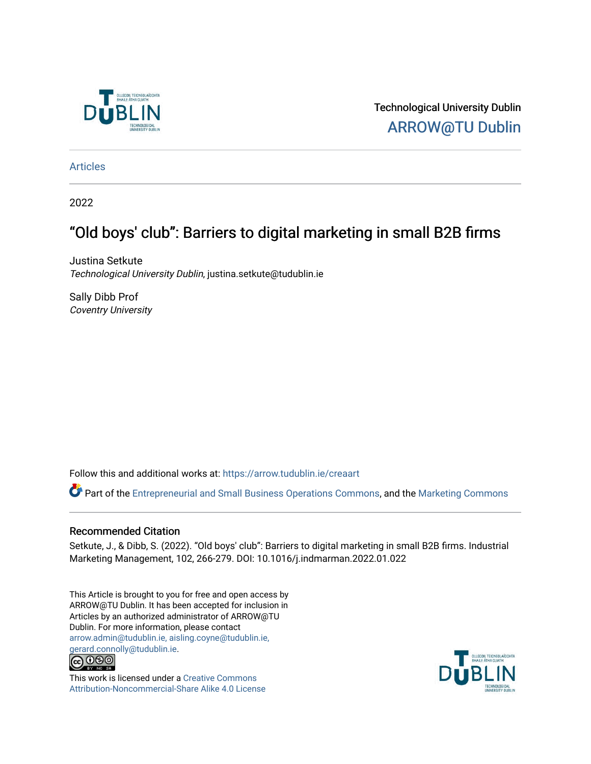

Technological University Dublin [ARROW@TU Dublin](https://arrow.tudublin.ie/) 

[Articles](https://arrow.tudublin.ie/creaart)

2022

# "Old boys' club": Barriers to digital marketing in small B2B firms

Justina Setkute Technological University Dublin, justina.setkute@tudublin.ie

Sally Dibb Prof Coventry University

Follow this and additional works at: [https://arrow.tudublin.ie/creaart](https://arrow.tudublin.ie/creaart?utm_source=arrow.tudublin.ie%2Fcreaart%2F54&utm_medium=PDF&utm_campaign=PDFCoverPages) 

Part of the [Entrepreneurial and Small Business Operations Commons,](http://network.bepress.com/hgg/discipline/630?utm_source=arrow.tudublin.ie%2Fcreaart%2F54&utm_medium=PDF&utm_campaign=PDFCoverPages) and the Marketing Commons

### Recommended Citation

Setkute, J., & Dibb, S. (2022). "Old boys' club": Barriers to digital marketing in small B2B firms. Industrial Marketing Management, 102, 266-279. DOI: 10.1016/j.indmarman.2022.01.022

This Article is brought to you for free and open access by ARROW@TU Dublin. It has been accepted for inclusion in Articles by an authorized administrator of ARROW@TU Dublin. For more information, please contact [arrow.admin@tudublin.ie, aisling.coyne@tudublin.ie,](mailto:arrow.admin@tudublin.ie,%20aisling.coyne@tudublin.ie,%20gerard.connolly@tudublin.ie)  [gerard.connolly@tudublin.ie](mailto:arrow.admin@tudublin.ie,%20aisling.coyne@tudublin.ie,%20gerard.connolly@tudublin.ie).



This work is licensed under a [Creative Commons](http://creativecommons.org/licenses/by-nc-sa/4.0/) [Attribution-Noncommercial-Share Alike 4.0 License](http://creativecommons.org/licenses/by-nc-sa/4.0/)

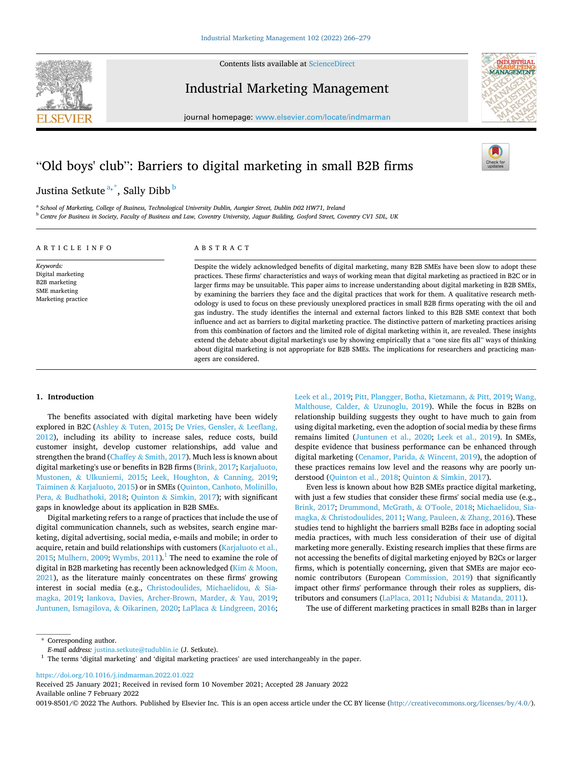**ELSEVIER** 



Industrial Marketing Management

journal homepage: [www.elsevier.com/locate/indmarman](https://www.elsevier.com/locate/indmarman)



## "Old boys' club": Barriers to digital marketing in small B2B firms

Justina Setkute<sup>a,\*</sup>, Sally Dibb<sup>b</sup>

<sup>a</sup> *School of Marketing, College of Business, Technological University Dublin, Aungier Street, Dublin D02 HW71, Ireland* <sup>b</sup> *Centre for Business in Society, Faculty of Business and Law, Coventry University, Jaguar Building, Gosford Street, Coventry CV1 5DL, UK* 

### ARTICLE INFO

*Keywords:*  Digital marketing B2B marketing SME marketing Marketing practice

#### ABSTRACT

Despite the widely acknowledged benefits of digital marketing, many B2B SMEs have been slow to adopt these practices. These firms' characteristics and ways of working mean that digital marketing as practiced in B2C or in larger firms may be unsuitable. This paper aims to increase understanding about digital marketing in B2B SMEs, by examining the barriers they face and the digital practices that work for them. A qualitative research methodology is used to focus on these previously unexplored practices in small B2B firms operating with the oil and gas industry. The study identifies the internal and external factors linked to this B2B SME context that both influence and act as barriers to digital marketing practice. The distinctive pattern of marketing practices arising from this combination of factors and the limited role of digital marketing within it, are revealed. These insights extend the debate about digital marketing's use by showing empirically that a "one size fits all" ways of thinking about digital marketing is not appropriate for B2B SMEs. The implications for researchers and practicing managers are considered.

#### **1. Introduction**

The benefits associated with digital marketing have been widely explored in B2C (Ashley & [Tuten, 2015; De Vries, Gensler,](#page-13-0) & Leeflang, [2012\)](#page-13-0), including its ability to increase sales, reduce costs, build customer insight, develop customer relationships, add value and strengthen the brand (Chaffey & [Smith, 2017](#page-13-0)). Much less is known about digital marketing's use or benefits in B2B firms [\(Brink, 2017](#page-13-0); [Karjaluoto,](#page-14-0)  Mustonen, & [Ulkuniemi, 2015;](#page-14-0) [Leek, Houghton,](#page-14-0) & Canning, 2019; Taiminen & [Karjaluoto, 2015](#page-14-0)) or in SMEs [\(Quinton, Canhoto, Molinillo,](#page-14-0)  Pera, & [Budhathoki, 2018](#page-14-0); Quinton & [Simkin, 2017\)](#page-14-0); with significant gaps in knowledge about its application in B2B SMEs.

Digital marketing refers to a range of practices that include the use of digital communication channels, such as websites, search engine marketing, digital advertising, social media, e-mails and mobile; in order to acquire, retain and build relationships with customers ([Karjaluoto et al.,](#page-14-0)  [2015; Mulhern, 2009; Wymbs, 2011](#page-14-0)).<sup>1</sup> The need to examine the role of digital in B2B marketing has recently been acknowledged (Kim & [Moon,](#page-14-0)  [2021\)](#page-14-0), as the literature mainly concentrates on these firms' growing interest in social media (e.g., [Christodoulides, Michaelidou,](#page-13-0) & Sia[magka, 2019;](#page-13-0) [Iankova, Davies, Archer-Brown, Marder,](#page-14-0) & Yau, 2019; [Juntunen, Ismagilova,](#page-14-0) & Oikarinen, 2020; LaPlaca & [Lindgreen, 2016](#page-14-0);

[Leek et al., 2019; Pitt, Plangger, Botha, Kietzmann,](#page-14-0) & Pitt, 2019; [Wang,](#page-14-0)  [Malthouse, Calder,](#page-14-0) & Uzunoglu, 2019). While the focus in B2Bs on relationship building suggests they ought to have much to gain from using digital marketing, even the adoption of social media by these firms remains limited ([Juntunen et al., 2020;](#page-14-0) [Leek et al., 2019](#page-14-0)). In SMEs, despite evidence that business performance can be enhanced through digital marketing ([Cenamor, Parida,](#page-13-0) & Wincent, 2019), the adoption of these practices remains low level and the reasons why are poorly understood ([Quinton et al., 2018](#page-14-0); Quinton & [Simkin, 2017\)](#page-14-0).

Even less is known about how B2B SMEs practice digital marketing, with just a few studies that consider these firms' social media use (e.g., [Brink, 2017](#page-13-0); [Drummond, McGrath,](#page-13-0) & O'Toole, 2018; [Michaelidou, Sia](#page-14-0)magka, & [Christodoulides, 2011; Wang, Pauleen,](#page-14-0) & Zhang, 2016). These studies tend to highlight the barriers small B2Bs face in adopting social media practices, with much less consideration of their use of digital marketing more generally. Existing research implies that these firms are not accessing the benefits of digital marketing enjoyed by B2Cs or larger firms, which is potentially concerning, given that SMEs are major economic contributors (European [Commission, 2019\)](#page-13-0) that significantly impact other firms' performance through their roles as suppliers, distributors and consumers ([LaPlaca, 2011](#page-14-0); Ndubisi & [Matanda, 2011\)](#page-14-0).

The use of different marketing practices in small B2Bs than in larger

<https://doi.org/10.1016/j.indmarman.2022.01.022>

Available online 7 February 2022 Received 25 January 2021; Received in revised form 10 November 2021; Accepted 28 January 2022

0019-8501/© 2022 The Authors. Published by Elsevier Inc. This is an open access article under the CC BY license(<http://creativecommons.org/licenses/by/4.0/>).

<sup>\*</sup> Corresponding author.<br>E-mail address: justina.setkute@tudublin.ie (J. Setkute).

<sup>&</sup>lt;sup>1</sup> The terms 'digital marketing' and 'digital marketing practices' are used interchangeably in the paper.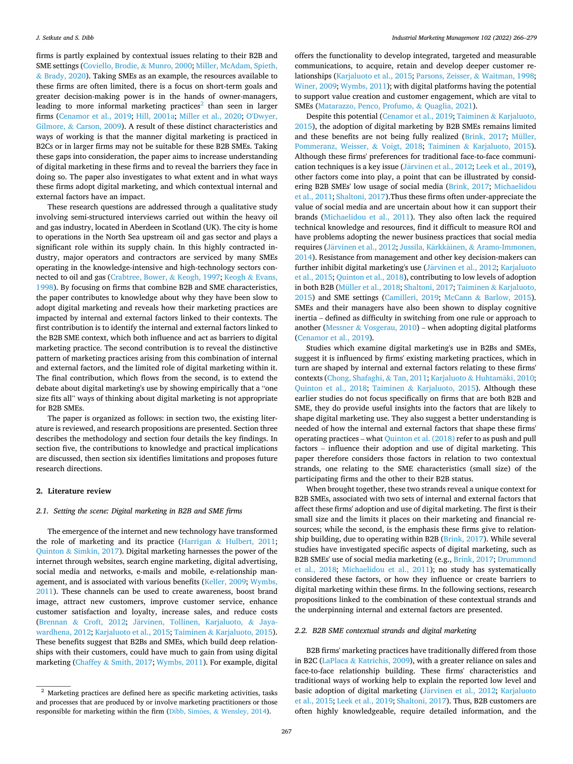firms is partly explained by contextual issues relating to their B2B and SME settings ([Coviello, Brodie,](#page-13-0) & Munro, 2000; [Miller, McAdam, Spieth,](#page-14-0)  & [Brady, 2020](#page-14-0)). Taking SMEs as an example, the resources available to these firms are often limited, there is a focus on short-term goals and greater decision-making power is in the hands of owner-managers, leading to more informal marketing practices<sup>2</sup> than seen in larger firms [\(Cenamor et al., 2019;](#page-13-0) [Hill, 2001a;](#page-14-0) [Miller et al., 2020](#page-14-0); [O'Dwyer,](#page-14-0)  Gilmore, & [Carson, 2009](#page-14-0)). A result of these distinct characteristics and ways of working is that the manner digital marketing is practiced in B2Cs or in larger firms may not be suitable for these B2B SMEs. Taking these gaps into consideration, the paper aims to increase understanding of digital marketing in these firms and to reveal the barriers they face in doing so. The paper also investigates to what extent and in what ways these firms adopt digital marketing, and which contextual internal and external factors have an impact.

These research questions are addressed through a qualitative study involving semi-structured interviews carried out within the heavy oil and gas industry, located in Aberdeen in Scotland (UK). The city is home to operations in the North Sea upstream oil and gas sector and plays a significant role within its supply chain. In this highly contracted industry, major operators and contractors are serviced by many SMEs operating in the knowledge-intensive and high-technology sectors connected to oil and gas [\(Crabtree, Bower,](#page-13-0) & Keogh, 1997; [Keogh](#page-14-0) & Evans, [1998\)](#page-14-0). By focusing on firms that combine B2B and SME characteristics, the paper contributes to knowledge about why they have been slow to adopt digital marketing and reveals how their marketing practices are impacted by internal and external factors linked to their contexts. The first contribution is to identify the internal and external factors linked to the B2B SME context, which both influence and act as barriers to digital marketing practice. The second contribution is to reveal the distinctive pattern of marketing practices arising from this combination of internal and external factors, and the limited role of digital marketing within it. The final contribution, which flows from the second, is to extend the debate about digital marketing's use by showing empirically that a "one size fits all" ways of thinking about digital marketing is not appropriate for B2B SMEs.

The paper is organized as follows: in section two, the existing literature is reviewed, and research propositions are presented. Section three describes the methodology and section four details the key findings. In section five, the contributions to knowledge and practical implications are discussed, then section six identifies limitations and proposes future research directions.

#### **2. Literature review**

#### *2.1. Setting the scene: Digital marketing in B2B and SME firms*

The emergence of the internet and new technology have transformed the role of marketing and its practice (Harrigan & [Hulbert, 2011](#page-14-0); Quinton & [Simkin, 2017\)](#page-14-0). Digital marketing harnesses the power of the internet through websites, search engine marketing, digital advertising, social media and networks, e-mails and mobile, e-relationship management, and is associated with various benefits ([Keller, 2009; Wymbs,](#page-14-0)  [2011\)](#page-14-0). These channels can be used to create awareness, boost brand image, attract new customers, improve customer service, enhance customer satisfaction and loyalty, increase sales, and reduce costs (Brennan & [Croft, 2012;](#page-13-0) Järvinen, Tollinen, Karjaluoto, & Jaya[wardhena, 2012; Karjaluoto et al., 2015;](#page-14-0) Taiminen & [Karjaluoto, 2015](#page-14-0)). These benefits suggest that B2Bs and SMEs, which build deep relationships with their customers, could have much to gain from using digital marketing (Chaffey & [Smith, 2017;](#page-13-0) [Wymbs, 2011](#page-14-0)). For example, digital

offers the functionality to develop integrated, targeted and measurable communications, to acquire, retain and develop deeper customer relationships ([Karjaluoto et al., 2015; Parsons, Zeisser,](#page-14-0) & Waitman, 1998; [Winer, 2009](#page-14-0); [Wymbs, 2011](#page-14-0)); with digital platforms having the potential to support value creation and customer engagement, which are vital to SMEs ([Matarazzo, Penco, Profumo,](#page-14-0) & Quaglia, 2021).

Despite this potential ([Cenamor et al., 2019;](#page-13-0) Taiminen & [Karjaluoto,](#page-14-0)  [2015\)](#page-14-0), the adoption of digital marketing by B2B SMEs remains limited and these benefits are not being fully realized [\(Brink, 2017](#page-13-0); [Müller,](#page-14-0)  [Pommeranz, Weisser,](#page-14-0) & Voigt, 2018; Taiminen & [Karjaluoto, 2015](#page-14-0)). Although these firms' preferences for traditional face-to-face communication techniques is a key issue (Järvinen [et al., 2012](#page-14-0); [Leek et al., 2019](#page-14-0)), other factors come into play, a point that can be illustrated by considering B2B SMEs' low usage of social media ([Brink, 2017;](#page-13-0) [Michaelidou](#page-14-0)  [et al., 2011; Shaltoni, 2017\)](#page-14-0).Thus these firms often under-appreciate the value of social media and are uncertain about how it can support their brands ([Michaelidou et al., 2011\)](#page-14-0). They also often lack the required technical knowledge and resources, find it difficult to measure ROI and have problems adopting the newer business practices that social media requires (Järvinen et al., 2012; Jussila, Kärkkäinen, & Aramo-Immonen, [2014\)](#page-14-0). Resistance from management and other key decision-makers can further inhibit digital marketing's use (Järvinen et al., 2012; Karjaluoto [et al., 2015; Quinton et al., 2018\)](#page-14-0), contributing to low levels of adoption in both B2B [\(Müller et al., 2018](#page-14-0); [Shaltoni, 2017](#page-14-0); Taiminen & [Karjaluoto,](#page-14-0)  [2015\)](#page-14-0) and SME settings [\(Camilleri, 2019](#page-13-0); McCann & [Barlow, 2015](#page-14-0)). SMEs and their managers have also been shown to display cognitive inertia – defined as difficulty in switching from one rule or approach to another (Messner & [Vosgerau, 2010](#page-14-0)) – when adopting digital platforms ([Cenamor et al., 2019\)](#page-13-0).

Studies which examine digital marketing's use in B2Bs and SMEs, suggest it is influenced by firms' existing marketing practices, which in turn are shaped by internal and external factors relating to these firms' contexts [\(Chong, Shafaghi,](#page-13-0) & Tan, 2011; [Karjaluoto](#page-14-0) & Huhtamäki, 2010; [Quinton et al., 2018](#page-14-0); Taiminen & [Karjaluoto, 2015](#page-14-0)). Although these earlier studies do not focus specifically on firms that are both B2B and SME, they do provide useful insights into the factors that are likely to shape digital marketing use. They also suggest a better understanding is needed of how the internal and external factors that shape these firms' operating practices – what [Quinton et al. \(2018\)](#page-14-0) refer to as push and pull factors – influence their adoption and use of digital marketing. This paper therefore considers those factors in relation to two contextual strands, one relating to the SME characteristics (small size) of the participating firms and the other to their B2B status.

When brought together, these two strands reveal a unique context for B2B SMEs, associated with two sets of internal and external factors that affect these firms' adoption and use of digital marketing. The first is their small size and the limits it places on their marketing and financial resources; while the second, is the emphasis these firms give to relation-ship building, due to operating within B2B [\(Brink, 2017\)](#page-13-0). While several studies have investigated specific aspects of digital marketing, such as B2B SMEs' use of social media marketing (e.g., [Brink, 2017](#page-13-0); [Drummond](#page-13-0)  [et al., 2018;](#page-13-0) [Michaelidou et al., 2011](#page-14-0)); no study has systematically considered these factors, or how they influence or create barriers to digital marketing within these firms. In the following sections, research propositions linked to the combination of these contextual strands and the underpinning internal and external factors are presented.

#### *2.2. B2B SME contextual strands and digital marketing*

B2B firms' marketing practices have traditionally differed from those in B2C (LaPlaca & [Katrichis, 2009](#page-14-0)), with a greater reliance on sales and face-to-face relationship building. These firms' characteristics and traditional ways of working help to explain the reported low level and basic adoption of digital marketing (Järvinen et al., 2012; Karjaluoto [et al., 2015](#page-14-0); [Leek et al., 2019](#page-14-0); [Shaltoni, 2017](#page-14-0)). Thus, B2B customers are often highly knowledgeable, require detailed information, and the

 $^{\rm 2}$  Marketing practices are defined here as specific marketing activities, tasks and processes that are produced by or involve marketing practitioners or those responsible for marketing within the firm (Dibb, Simoes, & [Wensley, 2014](#page-13-0)).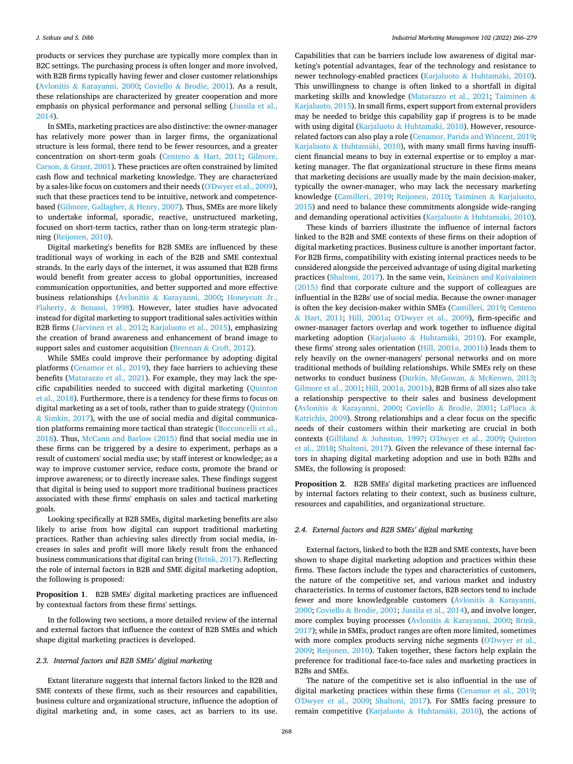<span id="page-3-0"></span>products or services they purchase are typically more complex than in B2C settings. The purchasing process is often longer and more involved, with B2B firms typically having fewer and closer customer relationships (Avlonitis & [Karayanni, 2000;](#page-13-0) Coviello & [Brodie, 2001\)](#page-13-0). As a result, these relationships are characterized by greater cooperation and more emphasis on physical performance and personal selling ([Jussila et al.,](#page-14-0)  [2014\)](#page-14-0).

In SMEs, marketing practices are also distinctive: the owner-manager has relatively more power than in larger firms, the organizational structure is less formal, there tend to be fewer resources, and a greater concentration on short-term goals (Centeno & [Hart, 2011;](#page-13-0) [Gilmore,](#page-13-0)  Carson, & [Grant, 2001\)](#page-13-0). These practices are often constrained by limited cash flow and technical marketing knowledge. They are characterized by a sales-like focus on customers and their needs ([O'Dwyer et al., 2009](#page-14-0)), such that these practices tend to be intuitive, network and competencebased ([Gilmore, Gallagher,](#page-13-0) & Henry, 2007). Thus, SMEs are more likely to undertake informal, sporadic, reactive, unstructured marketing, focused on short-term tactics, rather than on long-term strategic planning ([Reijonen, 2010](#page-14-0)).

Digital marketing's benefits for B2B SMEs are influenced by these traditional ways of working in each of the B2B and SME contextual strands. In the early days of the internet, it was assumed that B2B firms would benefit from greater access to global opportunities, increased communication opportunities, and better supported and more effective business relationships (Avlonitis & [Karayanni, 2000](#page-13-0); [Honeycutt Jr.,](#page-14-0)  Flaherty, & [Benassi, 1998\)](#page-14-0). However, later studies have advocated instead for digital marketing to support traditional sales activities within B2B firms (Järvinen et al., 2012; [Karjaluoto et al., 2015\)](#page-14-0), emphasizing the creation of brand awareness and enhancement of brand image to support sales and customer acquisition (Brennan & [Croft, 2012\)](#page-13-0).

While SMEs could improve their performance by adopting digital platforms ([Cenamor et al., 2019\)](#page-13-0), they face barriers to achieving these benefits ([Matarazzo et al., 2021](#page-14-0)). For example, they may lack the specific capabilities needed to succeed with digital marketing ([Quinton](#page-14-0)  [et al., 2018\)](#page-14-0). Furthermore, there is a tendency for these firms to focus on digital marketing as a set of tools, rather than to guide strategy (Quinton  $&$  [Simkin, 2017\)](#page-14-0), with the use of social media and digital communication platforms remaining more tactical than strategic [\(Bocconcelli et al.,](#page-13-0)  [2018\)](#page-13-0). Thus, [McCann and Barlow \(2015\)](#page-14-0) find that social media use in these firms can be triggered by a desire to experiment, perhaps as a result of customers' social media use; by staff interest or knowledge; as a way to improve customer service, reduce costs, promote the brand or improve awareness; or to directly increase sales. These findings suggest that digital is being used to support more traditional business practices associated with these firms' emphasis on sales and tactical marketing goals.

Looking specifically at B2B SMEs, digital marketing benefits are also likely to arise from how digital can support traditional marketing practices. Rather than achieving sales directly from social media, increases in sales and profit will more likely result from the enhanced business communications that digital can bring [\(Brink, 2017](#page-13-0)). Reflecting the role of internal factors in B2B and SME digital marketing adoption, the following is proposed:

**Proposition 1**. B2B SMEs' digital marketing practices are influenced by contextual factors from these firms' settings.

In the following two sections, a more detailed review of the internal and external factors that influence the context of B2B SMEs and which shape digital marketing practices is developed.

#### *2.3. Internal factors and B2B SMEs' digital marketing*

Extant literature suggests that internal factors linked to the B2B and SME contexts of these firms, such as their resources and capabilities, business culture and organizational structure, influence the adoption of digital marketing and, in some cases, act as barriers to its use.

Capabilities that can be barriers include low awareness of digital marketing's potential advantages, fear of the technology and resistance to newer technology-enabled practices ([Karjaluoto](#page-14-0) & Huhtamäki, 2010). This unwillingness to change is often linked to a shortfall in digital marketing skills and knowledge ([Matarazzo et al., 2021](#page-14-0); [Taiminen](#page-14-0) & [Karjaluoto, 2015](#page-14-0)). In small firms, expert support from external providers may be needed to bridge this capability gap if progress is to be made with using digital (Karjaluoto  $&$  Huhtamäki, 2010). However, resourcerelated factors can also play a role [\(Cenamor, Parida and Wincent, 2019](#page-13-0); [Karjaluoto](#page-14-0) & Huhtamäki, 2010), with many small firms having insufficient financial means to buy in external expertise or to employ a marketing manager. The flat organizational structure in these firms means that marketing decisions are usually made by the main decision-maker, typically the owner-manager, who may lack the necessary marketing knowledge [\(Camilleri, 2019;](#page-13-0) [Reijonen, 2010;](#page-14-0) Taiminen & [Karjaluoto,](#page-14-0)  [2015\)](#page-14-0) and need to balance these commitments alongside wide-ranging and demanding operational activities (Karjaluoto & Huhtamäki, 2010).

These kinds of barriers illustrate the influence of internal factors linked to the B2B and SME contexts of these firms on their adoption of digital marketing practices. Business culture is another important factor. For B2B firms, compatibility with existing internal practices needs to be considered alongside the perceived advantage of using digital marketing practices [\(Shaltoni, 2017\)](#page-14-0). In the same vein, Keinänen and Kuivalainen [\(2015\)](#page-14-0) find that corporate culture and the support of colleagues are influential in the B2Bs' use of social media. Because the owner-manager is often the key decision-maker within SMEs [\(Camilleri, 2019](#page-13-0); [Centeno](#page-13-0)  & [Hart, 2011;](#page-13-0) [Hill, 2001a](#page-14-0); [O'Dwyer et al., 2009\)](#page-14-0), firm-specific and owner-manager factors overlap and work together to influence digital marketing adoption (Karjaluoto  $\&$  Huhtamäki, 2010). For example, these firms' strong sales orientation [\(Hill, 2001a, 2001b](#page-14-0)) leads them to rely heavily on the owner-managers' personal networks and on more traditional methods of building relationships. While SMEs rely on these networks to conduct business [\(Durkin, McGowan,](#page-13-0) & McKeown, 2013; [Gilmore et al., 2001](#page-13-0); [Hill, 2001a, 2001b](#page-14-0)), B2B firms of all sizes also take a relationship perspective to their sales and business development (Avlonitis & [Karayanni, 2000](#page-13-0); Coviello & [Brodie, 2001;](#page-13-0) [LaPlaca](#page-14-0) & [Katrichis, 2009\)](#page-14-0). Strong relationships and a clear focus on the specific needs of their customers within their marketing are crucial in both contexts (Gilliland & [Johnston, 1997](#page-13-0); [O'Dwyer et al., 2009](#page-14-0); [Quinton](#page-14-0)  [et al., 2018](#page-14-0); [Shaltoni, 2017\)](#page-14-0). Given the relevance of these internal factors in shaping digital marketing adoption and use in both B2Bs and SMEs, the following is proposed:

**Proposition 2**. B2B SMEs' digital marketing practices are influenced by internal factors relating to their context, such as business culture, resources and capabilities, and organizational structure.

#### *2.4. External factors and B2B SMEs' digital marketing*

External factors, linked to both the B2B and SME contexts, have been shown to shape digital marketing adoption and practices within these firms. These factors include the types and characteristics of customers, the nature of the competitive set, and various market and industry characteristics. In terms of customer factors, B2B sectors tend to include fewer and more knowledgeable customers (Avlonitis & [Karayanni,](#page-13-0)  [2000;](#page-13-0) Coviello & [Brodie, 2001](#page-13-0); [Jussila et al., 2014\)](#page-14-0), and involve longer, more complex buying processes (Avlonitis & [Karayanni, 2000;](#page-13-0) [Brink,](#page-13-0)  [2017\)](#page-13-0); while in SMEs, product ranges are often more limited, sometimes with more complex products serving niche segments (O'Dwyer et al., [2009;](#page-14-0) [Reijonen, 2010](#page-14-0)). Taken together, these factors help explain the preference for traditional face-to-face sales and marketing practices in B2Bs and SMEs.

The nature of the competitive set is also influential in the use of digital marketing practices within these firms [\(Cenamor et al., 2019](#page-13-0); [O'Dwyer et al., 2009](#page-14-0); [Shaltoni, 2017\)](#page-14-0). For SMEs facing pressure to remain competitive (Karjaluoto & Huhtamäki, 2010), the actions of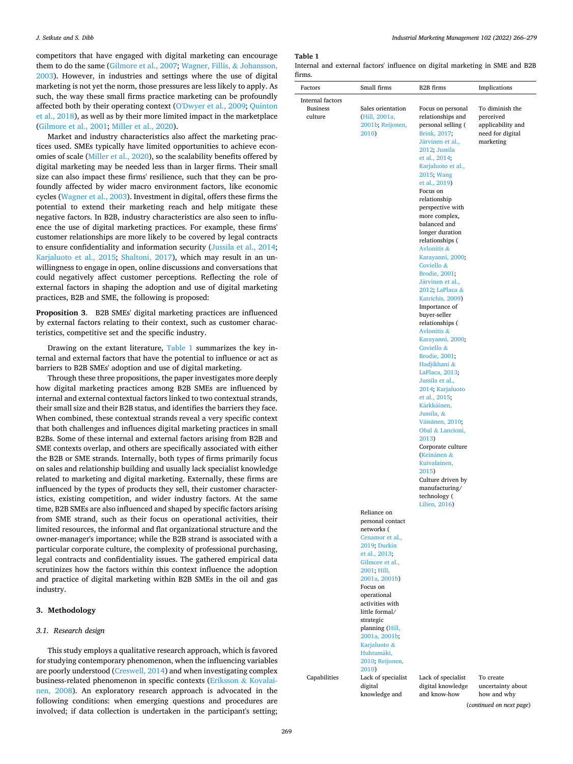<span id="page-4-0"></span>competitors that have engaged with digital marketing can encourage them to do the same [\(Gilmore et al., 2007](#page-13-0); [Wagner, Fillis,](#page-14-0) & Johansson, [2003\)](#page-14-0). However, in industries and settings where the use of digital marketing is not yet the norm, those pressures are less likely to apply. As such, the way these small firms practice marketing can be profoundly affected both by their operating context ([O'Dwyer et al., 2009](#page-14-0); [Quinton](#page-14-0)  [et al., 2018](#page-14-0)), as well as by their more limited impact in the marketplace ([Gilmore et al., 2001;](#page-13-0) [Miller et al., 2020](#page-14-0)).

Market and industry characteristics also affect the marketing practices used. SMEs typically have limited opportunities to achieve economies of scale ([Miller et al., 2020\)](#page-14-0), so the scalability benefits offered by digital marketing may be needed less than in larger firms. Their small size can also impact these firms' resilience, such that they can be profoundly affected by wider macro environment factors, like economic cycles ([Wagner et al., 2003\)](#page-14-0). Investment in digital, offers these firms the potential to extend their marketing reach and help mitigate these negative factors. In B2B, industry characteristics are also seen to influence the use of digital marketing practices. For example, these firms' customer relationships are more likely to be covered by legal contracts to ensure confidentiality and information security ([Jussila et al., 2014](#page-14-0); [Karjaluoto et al., 2015](#page-14-0); [Shaltoni, 2017](#page-14-0)), which may result in an unwillingness to engage in open, online discussions and conversations that could negatively affect customer perceptions. Reflecting the role of external factors in shaping the adoption and use of digital marketing practices, B2B and SME, the following is proposed:

**Proposition 3**. B2B SMEs' digital marketing practices are influenced by external factors relating to their context, such as customer characteristics, competitive set and the specific industry.

Drawing on the extant literature, Table 1 summarizes the key internal and external factors that have the potential to influence or act as barriers to B2B SMEs' adoption and use of digital marketing.

Through these three propositions, the paper investigates more deeply how digital marketing practices among B2B SMEs are influenced by internal and external contextual factors linked to two contextual strands, their small size and their B2B status, and identifies the barriers they face. When combined, these contextual strands reveal a very specific context that both challenges and influences digital marketing practices in small B2Bs. Some of these internal and external factors arising from B2B and SME contexts overlap, and others are specifically associated with either the B2B or SME strands. Internally, both types of firms primarily focus on sales and relationship building and usually lack specialist knowledge related to marketing and digital marketing. Externally, these firms are influenced by the types of products they sell, their customer characteristics, existing competition, and wider industry factors. At the same time, B2B SMEs are also influenced and shaped by specific factors arising from SME strand, such as their focus on operational activities, their limited resources, the informal and flat organizational structure and the owner-manager's importance; while the B2B strand is associated with a particular corporate culture, the complexity of professional purchasing, legal contracts and confidentiality issues. The gathered empirical data scrutinizes how the factors within this context influence the adoption and practice of digital marketing within B2B SMEs in the oil and gas industry.

#### **3. Methodology**

#### *3.1. Research design*

This study employs a qualitative research approach, which is favored for studying contemporary phenomenon, when the influencing variables are poorly understood [\(Creswell, 2014](#page-13-0)) and when investigating complex business-related phenomenon in specific contexts [\(Eriksson](#page-13-0) & Kovalai[nen, 2008](#page-13-0)). An exploratory research approach is advocated in the following conditions: when emerging questions and procedures are involved; if data collection is undertaken in the participant's setting;

*Industrial Marketing Management 102 (2022) 266–279*

### **Table 1**

|        |  |  |  | Internal and external factors' influence on digital marketing in SME and B2B |  |  |
|--------|--|--|--|------------------------------------------------------------------------------|--|--|
| firms. |  |  |  |                                                                              |  |  |

| Factors                                        | Small firms                                                                                                          | B2B firms                                                                                                                                                                                                            | Implications                                                                       |
|------------------------------------------------|----------------------------------------------------------------------------------------------------------------------|----------------------------------------------------------------------------------------------------------------------------------------------------------------------------------------------------------------------|------------------------------------------------------------------------------------|
| Internal factors<br><b>Business</b><br>culture | Sales orientation<br>(Hill, 2001a,<br>2001b; Reijonen,<br>2010)                                                      | Focus on personal<br>relationships and<br>personal selling (<br>Brink, 2017;<br>Järvinen et al.,<br>2012; Jussila<br>et al., 2014;<br>Karjaluoto et al.,                                                             | To diminish the<br>perceived<br>applicability and<br>need for digital<br>marketing |
|                                                |                                                                                                                      | 2015; Wang<br>et al., 2019)<br>Focus on<br>relationship<br>perspective with<br>more complex,<br>balanced and<br>longer duration<br>relationships (<br>Avlonitis &<br>Karayanni, 2000;<br>Coviello &<br>Brodie, 2001; |                                                                                    |
|                                                |                                                                                                                      | Järvinen et al.,<br>2012; LaPlaca &<br>Katrichis, 2009)<br>Importance of<br>buyer-seller<br>relationships (                                                                                                          |                                                                                    |
|                                                |                                                                                                                      | Avlonitis &<br>Karayanni, 2000;<br>Coviello &<br>Brodie, 2001;<br>Hadjikhani &                                                                                                                                       |                                                                                    |
|                                                |                                                                                                                      | LaPlaca, 2013;<br>Jussila et al.,<br>2014; Karjaluoto<br>et al., 2015;<br>Kärkkäinen,<br>Jussila, &                                                                                                                  |                                                                                    |
|                                                |                                                                                                                      | Väisänen, 2010;<br>Obal & Lancioni,<br>2013)<br>Corporate culture<br>(Keinänen &                                                                                                                                     |                                                                                    |
|                                                |                                                                                                                      | Kuivalainen,<br>2015)<br>Culture driven by<br>manufacturing/<br>technology (<br>Lilien, 2016)                                                                                                                        |                                                                                    |
|                                                | Reliance on<br>personal contact<br>networks (<br>Cenamor et al.,<br>2019; Durkin<br>et al., 2013;<br>Gilmore et al., |                                                                                                                                                                                                                      |                                                                                    |
|                                                | 2001; Hill,<br>2001a, 2001b)<br>Focus on<br>operational<br>activities with<br>little formal/<br>strategic            |                                                                                                                                                                                                                      |                                                                                    |
|                                                | planning (Hill,<br>2001a, 2001b;<br>Karjaluoto &<br>Huhtamäki,<br>2010; Reijonen,<br>2010)                           |                                                                                                                                                                                                                      |                                                                                    |
| Capabilities                                   | Lack of specialist<br>digital<br>knowledge and                                                                       | Lack of specialist<br>digital knowledge<br>and know-how                                                                                                                                                              | To create<br>uncertainty about<br>how and why                                      |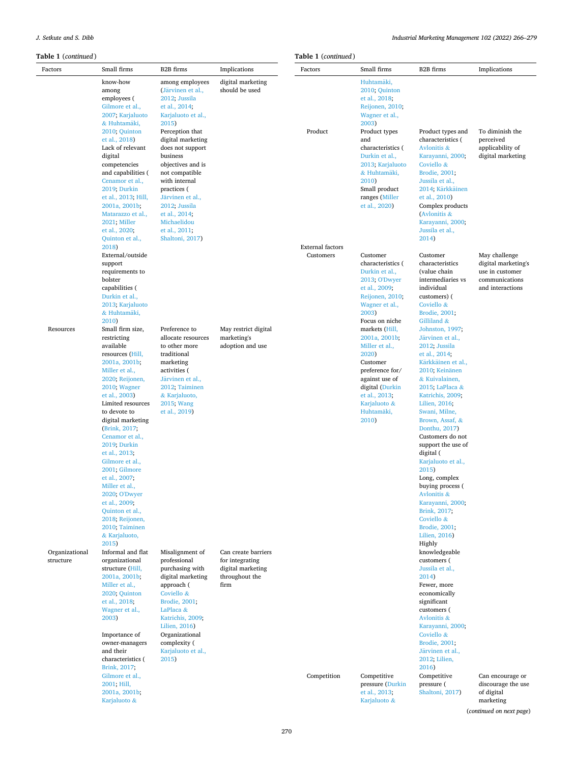*J. Setkute and S. Dibb* 

| <b>Table 1</b> (continued)  |                                                                                                                                                                                                                                                                                                                                                                                                                                                                                            |                                                                                                                                                                                                                                         |                                                                                       | <b>Table 1</b> (continued)           |                                                                                                                                                                                                          |                                                                                                                                                                                                                                                                                                                                                                                                                                                                                                     |                                                                                               |  |
|-----------------------------|--------------------------------------------------------------------------------------------------------------------------------------------------------------------------------------------------------------------------------------------------------------------------------------------------------------------------------------------------------------------------------------------------------------------------------------------------------------------------------------------|-----------------------------------------------------------------------------------------------------------------------------------------------------------------------------------------------------------------------------------------|---------------------------------------------------------------------------------------|--------------------------------------|----------------------------------------------------------------------------------------------------------------------------------------------------------------------------------------------------------|-----------------------------------------------------------------------------------------------------------------------------------------------------------------------------------------------------------------------------------------------------------------------------------------------------------------------------------------------------------------------------------------------------------------------------------------------------------------------------------------------------|-----------------------------------------------------------------------------------------------|--|
| Factors                     | Small firms                                                                                                                                                                                                                                                                                                                                                                                                                                                                                | B2B firms                                                                                                                                                                                                                               | Implications                                                                          | Factors                              | Small firms                                                                                                                                                                                              | B2B firms                                                                                                                                                                                                                                                                                                                                                                                                                                                                                           | Implications                                                                                  |  |
|                             | know-how<br>among<br>employees (<br>Gilmore et al.,<br>2007; Karjaluoto<br>& Huhtamäki,<br>2010; Quinton<br>et al., 2018)<br>Lack of relevant<br>digital<br>competencies<br>and capabilities (                                                                                                                                                                                                                                                                                             | among employees<br>(Järvinen et al.,<br>2012; Jussila<br>et al., 2014;<br>Karjaluoto et al.,<br>2015)<br>Perception that<br>digital marketing<br>does not support<br>business<br>objectives and is<br>not compatible                    | digital marketing<br>should be used                                                   | Product                              | Huhtamäki,<br>2010; Quinton<br>et al., 2018;<br>Reijonen, 2010;<br>Wagner et al.,<br>2003)<br>Product types<br>and<br>characteristics (<br>Durkin et al.,<br>2013; Karjaluoto<br>& Huhtamäki,            | Product types and<br>characteristics (<br>Avlonitis &<br>Karayanni, 2000;<br>Coviello &<br>Brodie, 2001;                                                                                                                                                                                                                                                                                                                                                                                            | To diminish the<br>perceived<br>applicability of<br>digital marketing                         |  |
|                             | Cenamor et al.,<br>2019; Durkin<br>et al., 2013; Hill,<br>2001a, 2001b;<br>Matarazzo et al.,<br>2021; Miller<br>et al., 2020;<br>Quinton et al.,                                                                                                                                                                                                                                                                                                                                           | with internal<br>practices (<br>Järvinen et al.,<br>2012; Jussila<br>et al., 2014;<br>Michaelidou<br>et al., 2011;<br>Shaltoni, 2017)                                                                                                   |                                                                                       |                                      | 2010)<br>Small product<br>ranges (Miller<br>et al., 2020)                                                                                                                                                | Jussila et al.,<br>2014; Kärkkäinen<br>et al., 2010)<br>Complex products<br>(Avlonitis &<br>Karayanni, 2000;<br>Jussila et al.,<br>2014)                                                                                                                                                                                                                                                                                                                                                            |                                                                                               |  |
|                             | 2018)<br>External/outside<br>support<br>requirements to<br>bolster<br>capabilities (<br>Durkin et al.,<br>2013; Karjaluoto<br>& Huhtamäki,                                                                                                                                                                                                                                                                                                                                                 |                                                                                                                                                                                                                                         |                                                                                       | <b>External</b> factors<br>Customers | Customer<br>characteristics (<br>Durkin et al.,<br>2013; O'Dwyer<br>et al., 2009;<br>Reijonen, 2010;<br>Wagner et al.,<br>2003)                                                                          | Customer<br>characteristics<br>(value chain<br>intermediaries vs<br>individual<br>customers) (<br>Coviello &<br>Brodie, 2001;                                                                                                                                                                                                                                                                                                                                                                       | May challenge<br>digital marketing's<br>use in customer<br>communications<br>and interactions |  |
| Resources                   | 2010)<br>Small firm size,<br>restricting<br>available<br>resources (Hill,<br>2001a, 2001b;<br>Miller et al.,<br>2020; Reijonen,<br>2010; Wagner<br>et al., 2003)<br>Limited resources<br>to devote to<br>digital marketing<br>(Brink, 2017;<br>Cenamor et al.,<br>2019; Durkin<br>et al., 2013;<br>Gilmore et al.,<br>2001; Gilmore<br>et al., 2007;<br>Miller et al.,<br>2020; O'Dwyer<br>et al., 2009;<br>Quinton et al.,<br>2018; Reijonen,<br>2010; Taiminen<br>& Karjaluoto,<br>2015) | Preference to<br>allocate resources<br>to other more<br>traditional<br>marketing<br>activities (<br>Järvinen et al.,<br>2012; Taiminen<br>& Karjaluoto,<br>2015; Wang<br>et al., 2019)                                                  | May restrict digital<br>marketing's<br>adoption and use                               |                                      | Focus on niche<br>markets (Hill,<br>2001a, 2001b;<br>Miller et al.,<br>2020)<br>Customer<br>preference for/<br>against use of<br>digital (Durkin<br>et al., 2013;<br>Karjaluoto &<br>Huhtamäki,<br>2010) | Gilliland &<br>Johnston, 1997;<br>Järvinen et al.,<br>2012; Jussila<br>et al., 2014;<br>Kärkkäinen et al.,<br>2010; Keinänen<br>& Kuivalainen,<br>2015; LaPlaca &<br>Katrichis, 2009;<br>Lilien, 2016;<br>Swani, Milne,<br>Brown, Assaf, &<br>Donthu, 2017)<br>Customers do not<br>support the use of<br>digital (<br>Karjaluoto et al.,<br>2015)<br>Long, complex<br>buying process (<br>Avlonitis &<br>Karayanni, 2000;<br>Brink, 2017;<br>Coviello &<br>Brodie, 2001;<br>Lilien, 2016)<br>Highly |                                                                                               |  |
| Organizational<br>structure | Informal and flat<br>organizational<br>structure (Hill,<br>2001a, 2001b;<br>Miller et al.,<br>2020; Quinton<br>et al., 2018;<br>Wagner et al.,<br>2003)<br>Importance of<br>owner-managers<br>and their<br>characteristics (<br>Brink, 2017;                                                                                                                                                                                                                                               | Misalignment of<br>professional<br>purchasing with<br>digital marketing<br>approach (<br>Coviello &<br>Brodie, 2001;<br>LaPlaca &<br>Katrichis, 2009;<br>Lilien, 2016)<br>Organizational<br>complexity (<br>Karjaluoto et al.,<br>2015) | Can create barriers<br>for integrating<br>digital marketing<br>throughout the<br>firm |                                      |                                                                                                                                                                                                          | knowledgeable<br>customers (<br>Jussila et al.,<br>2014)<br>Fewer, more<br>economically<br>significant<br>customers (<br>Avlonitis &<br>Karayanni, 2000;<br>Coviello &<br>Brodie, 2001;<br>Järvinen et al.,<br>2012; Lilien,<br>2016)                                                                                                                                                                                                                                                               |                                                                                               |  |
|                             | Gilmore et al.,<br>2001; Hill,<br>2001a, 2001b;<br>Karjaluoto &                                                                                                                                                                                                                                                                                                                                                                                                                            |                                                                                                                                                                                                                                         |                                                                                       | Competition                          | Competitive<br>pressure (Durkin<br>et al., 2013;<br>Karjaluoto &                                                                                                                                         | Competitive<br>pressure (<br>Shaltoni, 2017)                                                                                                                                                                                                                                                                                                                                                                                                                                                        | Can encourage or<br>discourage the use<br>of digital<br>marketing                             |  |

(*continued on next page*)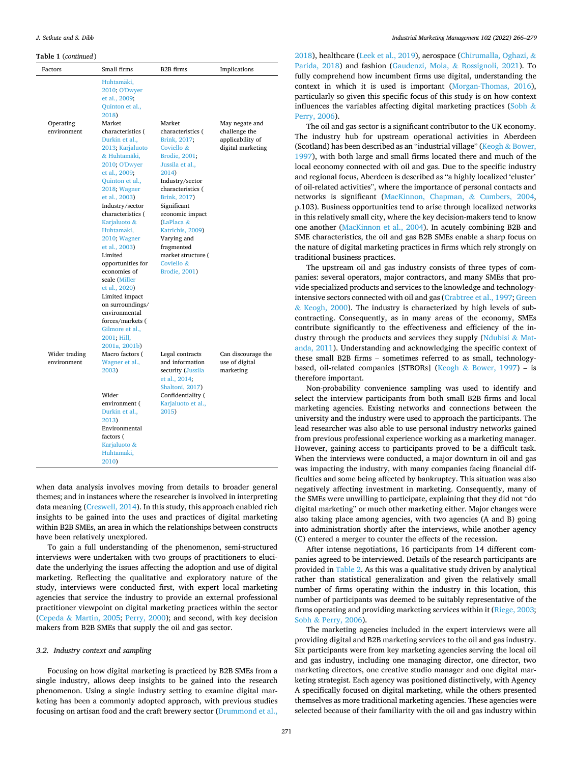**Table 1** (*continued* )

| Factors                      | Small firms                                                                                                                                                                                                                                                                                                                                                                                                                                                         | <b>B2B</b> firms                                                                                                                                                                                                                                                                                                   | Implications                                           |
|------------------------------|---------------------------------------------------------------------------------------------------------------------------------------------------------------------------------------------------------------------------------------------------------------------------------------------------------------------------------------------------------------------------------------------------------------------------------------------------------------------|--------------------------------------------------------------------------------------------------------------------------------------------------------------------------------------------------------------------------------------------------------------------------------------------------------------------|--------------------------------------------------------|
|                              | Huhtamäki,<br>2010; O'Dwyer<br>et al., 2009;<br>Quinton et al.,<br>2018)                                                                                                                                                                                                                                                                                                                                                                                            |                                                                                                                                                                                                                                                                                                                    |                                                        |
| Operating                    | Market                                                                                                                                                                                                                                                                                                                                                                                                                                                              | Market                                                                                                                                                                                                                                                                                                             | May negate and                                         |
| environment                  | characteristics (<br>Durkin et al.,<br>2013; Karjaluoto<br>& Huhtamäki,<br>2010; O'Dwyer<br>et al., 2009;<br>Quinton et al.,<br>2018; Wagner<br>et al., 2003)<br>Industry/sector<br>characteristics (<br>Karjaluoto &<br>Huhtamäki,<br>2010: Wagner<br>et al., 2003)<br>Limited<br>opportunities for<br>economies of<br>scale (Miller<br>et al., 2020)<br>Limited impact<br>on surroundings/<br>environmental<br>forces/markets (<br>Gilmore et al.,<br>2001; Hill, | characteristics (<br>Brink, 2017;<br>Coviello &<br>Brodie, 2001;<br>Jussila et al.,<br>2014)<br>Industry/sector<br>characteristics (<br>Brink, 2017)<br>Significant<br>economic impact<br>(LaPlaca &<br>Katrichis, 2009)<br>Varying and<br>fragmented<br>market structure (<br>Coviello &<br><b>Brodie</b> , 2001) | challenge the<br>applicability of<br>digital marketing |
| Wider trading<br>environment | 2001a, 2001b)<br>Macro factors (<br>Wagner et al.,<br>2003)<br>Wider<br>environment (<br>Durkin et al.,<br>2013)<br>Environmental<br>factors (<br>Karjaluoto &<br>Huhtamäki,                                                                                                                                                                                                                                                                                        | Legal contracts<br>and information<br>security (Jussila<br>et al., 2014;<br>Shaltoni, 2017)<br>Confidentiality (<br>Karjaluoto et al.,<br>2015)                                                                                                                                                                    | Can discourage the<br>use of digital<br>marketing      |

when data analysis involves moving from details to broader general themes; and in instances where the researcher is involved in interpreting data meaning ([Creswell, 2014](#page-13-0)). In this study, this approach enabled rich insights to be gained into the uses and practices of digital marketing within B2B SMEs, an area in which the relationships between constructs have been relatively unexplored.

To gain a full understanding of the phenomenon, semi-structured interviews were undertaken with two groups of practitioners to elucidate the underlying the issues affecting the adoption and use of digital marketing. Reflecting the qualitative and exploratory nature of the study, interviews were conducted first, with expert local marketing agencies that service the industry to provide an external professional practitioner viewpoint on digital marketing practices within the sector (Cepeda & [Martin, 2005](#page-13-0); [Perry, 2000](#page-14-0)); and second, with key decision makers from B2B SMEs that supply the oil and gas sector.

#### *3.2. Industry context and sampling*

Focusing on how digital marketing is practiced by B2B SMEs from a single industry, allows deep insights to be gained into the research phenomenon. Using a single industry setting to examine digital marketing has been a commonly adopted approach, with previous studies focusing on artisan food and the craft brewery sector [\(Drummond et al.,](#page-13-0) 

[2018\)](#page-13-0), healthcare ([Leek et al., 2019\)](#page-14-0), aerospace ([Chirumalla, Oghazi,](#page-13-0) & [Parida, 2018](#page-13-0)) and fashion [\(Gaudenzi, Mola,](#page-13-0) & Rossignoli, 2021). To fully comprehend how incumbent firms use digital, understanding the context in which it is used is important [\(Morgan-Thomas, 2016](#page-14-0)), particularly so given this specific focus of this study is on how context influences the variables affecting digital marketing practices ([Sobh](#page-14-0)  $\&$ [Perry, 2006](#page-14-0)).

The oil and gas sector is a significant contributor to the UK economy. The industry hub for upstream operational activities in Aberdeen (Scotland) has been described as an "industrial village" (Keogh & [Bower,](#page-14-0)  [1997\)](#page-14-0), with both large and small firms located there and much of the local economy connected with oil and gas. Due to the specific industry and regional focus, Aberdeen is described as "a highly localized 'cluster' of oil-related activities", where the importance of personal contacts and networks is significant ([MacKinnon, Chapman,](#page-14-0) & Cumbers, 2004, p.103). Business opportunities tend to arise through localized networks in this relatively small city, where the key decision-makers tend to know one another ([MacKinnon et al., 2004](#page-14-0)). In acutely combining B2B and SME characteristics, the oil and gas B2B SMEs enable a sharp focus on the nature of digital marketing practices in firms which rely strongly on traditional business practices.

The upstream oil and gas industry consists of three types of companies: several operators, major contractors, and many SMEs that provide specialized products and services to the knowledge and technologyintensive sectors connected with oil and gas [\(Crabtree et al., 1997; Green](#page-13-0)  & [Keogh, 2000\)](#page-13-0). The industry is characterized by high levels of subcontracting. Consequently, as in many areas of the economy, SMEs contribute significantly to the effectiveness and efficiency of the in-dustry through the products and services they supply ([Ndubisi](#page-14-0)  $&$  Mat[anda, 2011](#page-14-0)). Understanding and acknowledging the specific context of these small B2B firms – sometimes referred to as small, technologybased, oil-related companies [STBORs] (Keogh & [Bower, 1997\)](#page-14-0) – is therefore important.

Non-probability convenience sampling was used to identify and select the interview participants from both small B2B firms and local marketing agencies. Existing networks and connections between the university and the industry were used to approach the participants. The lead researcher was also able to use personal industry networks gained from previous professional experience working as a marketing manager. However, gaining access to participants proved to be a difficult task. When the interviews were conducted, a major downturn in oil and gas was impacting the industry, with many companies facing financial difficulties and some being affected by bankruptcy. This situation was also negatively affecting investment in marketing. Consequently, many of the SMEs were unwilling to participate, explaining that they did not "do digital marketing" or much other marketing either. Major changes were also taking place among agencies, with two agencies (A and B) going into administration shortly after the interviews, while another agency (C) entered a merger to counter the effects of the recession.

After intense negotiations, 16 participants from 14 different companies agreed to be interviewed. Details of the research participants are provided in [Table 2](#page-7-0). As this was a qualitative study driven by analytical rather than statistical generalization and given the relatively small number of firms operating within the industry in this location, this number of participants was deemed to be suitably representative of the firms operating and providing marketing services within it ([Riege, 2003](#page-14-0); Sobh & [Perry, 2006\)](#page-14-0).

The marketing agencies included in the expert interviews were all providing digital and B2B marketing services to the oil and gas industry. Six participants were from key marketing agencies serving the local oil and gas industry, including one managing director, one director, two marketing directors, one creative studio manager and one digital marketing strategist. Each agency was positioned distinctively, with Agency A specifically focused on digital marketing, while the others presented themselves as more traditional marketing agencies. These agencies were selected because of their familiarity with the oil and gas industry within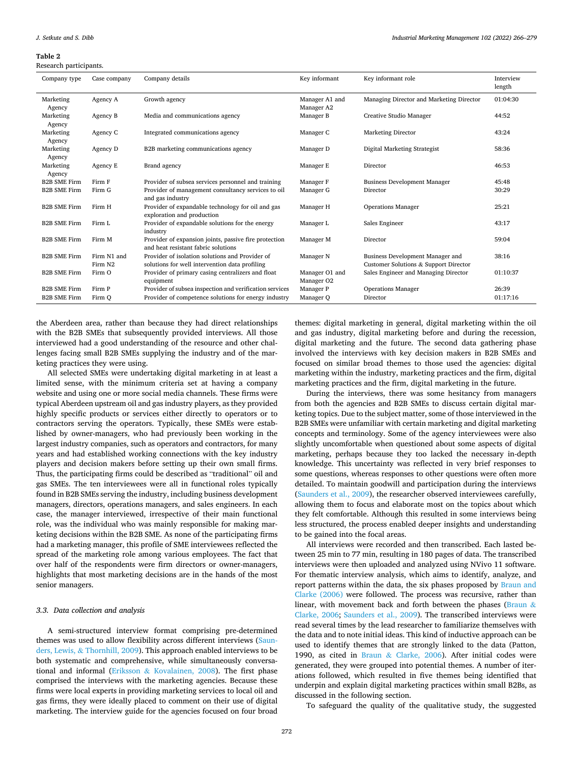#### <span id="page-7-0"></span>**Table 2**

Research participants.

| Company type        | Case company           | Company details                                                                                   | Key informant                | Key informant role                                                        | Interview<br>length |
|---------------------|------------------------|---------------------------------------------------------------------------------------------------|------------------------------|---------------------------------------------------------------------------|---------------------|
| Marketing<br>Agency | Agency A               | Growth agency                                                                                     | Manager A1 and<br>Manager A2 | Managing Director and Marketing Director                                  | 01:04:30            |
| Marketing<br>Agency | Agency B               | Media and communications agency                                                                   | Manager B                    | Creative Studio Manager                                                   | 44:52               |
| Marketing<br>Agency | Agency C               | Integrated communications agency                                                                  | Manager C                    | <b>Marketing Director</b>                                                 | 43:24               |
| Marketing<br>Agency | Agency D               | B2B marketing communications agency                                                               | Manager D                    | Digital Marketing Strategist                                              | 58:36               |
| Marketing<br>Agency | Agency E               | Brand agency                                                                                      | Manager E                    | Director                                                                  | 46:53               |
| <b>B2B SME Firm</b> | Firm F                 | Provider of subsea services personnel and training                                                | Manager F                    | <b>Business Development Manager</b>                                       | 45:48               |
| <b>B2B SME Firm</b> | Firm G                 | Provider of management consultancy services to oil<br>and gas industry                            | Manager G                    | Director                                                                  | 30:29               |
| <b>B2B SME Firm</b> | Firm H                 | Provider of expandable technology for oil and gas<br>exploration and production                   | Manager H                    | <b>Operations Manager</b>                                                 | 25:21               |
| <b>B2B SME Firm</b> | Firm L                 | Provider of expandable solutions for the energy<br>industry                                       | Manager L                    | Sales Engineer                                                            | 43:17               |
| <b>B2B SME Firm</b> | Firm M                 | Provider of expansion joints, passive fire protection<br>and heat resistant fabric solutions      | Manager M                    | Director                                                                  | 59:04               |
| <b>B2B SME Firm</b> | Firm N1 and<br>Firm N2 | Provider of isolation solutions and Provider of<br>solutions for well intervention data profiling | Manager N                    | Business Development Manager and<br>Customer Solutions & Support Director | 38:16               |
| <b>B2B SME Firm</b> | Firm O                 | Provider of primary casing centralizers and float<br>equipment                                    | Manager O1 and<br>Manager O2 | Sales Engineer and Managing Director                                      | 01:10:37            |
| <b>B2B SME Firm</b> | Firm P                 | Provider of subsea inspection and verification services                                           | Manager P                    | <b>Operations Manager</b>                                                 | 26:39               |
| <b>B2B SME Firm</b> | Firm Q                 | Provider of competence solutions for energy industry                                              | Manager Q                    | Director                                                                  | 01:17:16            |

the Aberdeen area, rather than because they had direct relationships with the B2B SMEs that subsequently provided interviews. All those interviewed had a good understanding of the resource and other challenges facing small B2B SMEs supplying the industry and of the marketing practices they were using.

All selected SMEs were undertaking digital marketing in at least a limited sense, with the minimum criteria set at having a company website and using one or more social media channels. These firms were typical Aberdeen upstream oil and gas industry players, as they provided highly specific products or services either directly to operators or to contractors serving the operators. Typically, these SMEs were established by owner-managers, who had previously been working in the largest industry companies, such as operators and contractors, for many years and had established working connections with the key industry players and decision makers before setting up their own small firms. Thus, the participating firms could be described as "traditional" oil and gas SMEs. The ten interviewees were all in functional roles typically found in B2B SMEs serving the industry, including business development managers, directors, operations managers, and sales engineers. In each case, the manager interviewed, irrespective of their main functional role, was the individual who was mainly responsible for making marketing decisions within the B2B SME. As none of the participating firms had a marketing manager, this profile of SME interviewees reflected the spread of the marketing role among various employees. The fact that over half of the respondents were firm directors or owner-managers, highlights that most marketing decisions are in the hands of the most senior managers.

#### *3.3. Data collection and analysis*

A semi-structured interview format comprising pre-determined themes was used to allow flexibility across different interviews ([Saun](#page-14-0)ders, Lewis, & [Thornhill, 2009](#page-14-0)). This approach enabled interviews to be both systematic and comprehensive, while simultaneously conversational and informal (Eriksson & [Kovalainen, 2008\)](#page-13-0). The first phase comprised the interviews with the marketing agencies. Because these firms were local experts in providing marketing services to local oil and gas firms, they were ideally placed to comment on their use of digital marketing. The interview guide for the agencies focused on four broad

themes: digital marketing in general, digital marketing within the oil and gas industry, digital marketing before and during the recession, digital marketing and the future. The second data gathering phase involved the interviews with key decision makers in B2B SMEs and focused on similar broad themes to those used the agencies: digital marketing within the industry, marketing practices and the firm, digital marketing practices and the firm, digital marketing in the future.

During the interviews, there was some hesitancy from managers from both the agencies and B2B SMEs to discuss certain digital marketing topics. Due to the subject matter, some of those interviewed in the B2B SMEs were unfamiliar with certain marketing and digital marketing concepts and terminology. Some of the agency interviewees were also slightly uncomfortable when questioned about some aspects of digital marketing, perhaps because they too lacked the necessary in-depth knowledge. This uncertainty was reflected in very brief responses to some questions, whereas responses to other questions were often more detailed. To maintain goodwill and participation during the interviews ([Saunders et al., 2009\)](#page-14-0), the researcher observed interviewees carefully, allowing them to focus and elaborate most on the topics about which they felt comfortable. Although this resulted in some interviews being less structured, the process enabled deeper insights and understanding to be gained into the focal areas.

All interviews were recorded and then transcribed. Each lasted between 25 min to 77 min, resulting in 180 pages of data. The transcribed interviews were then uploaded and analyzed using NVivo 11 software. For thematic interview analysis, which aims to identify, analyze, and report patterns within the data, the six phases proposed by [Braun and](#page-13-0)  [Clarke \(2006\)](#page-13-0) were followed. The process was recursive, rather than linear, with movement back and forth between the phases [\(Braun](#page-13-0) & [Clarke, 2006](#page-13-0); [Saunders et al., 2009\)](#page-14-0). The transcribed interviews were read several times by the lead researcher to familiarize themselves with the data and to note initial ideas. This kind of inductive approach can be used to identify themes that are strongly linked to the data (Patton, 1990, as cited in Braun & [Clarke, 2006](#page-13-0)). After initial codes were generated, they were grouped into potential themes. A number of iterations followed, which resulted in five themes being identified that underpin and explain digital marketing practices within small B2Bs, as discussed in the following section.

To safeguard the quality of the qualitative study, the suggested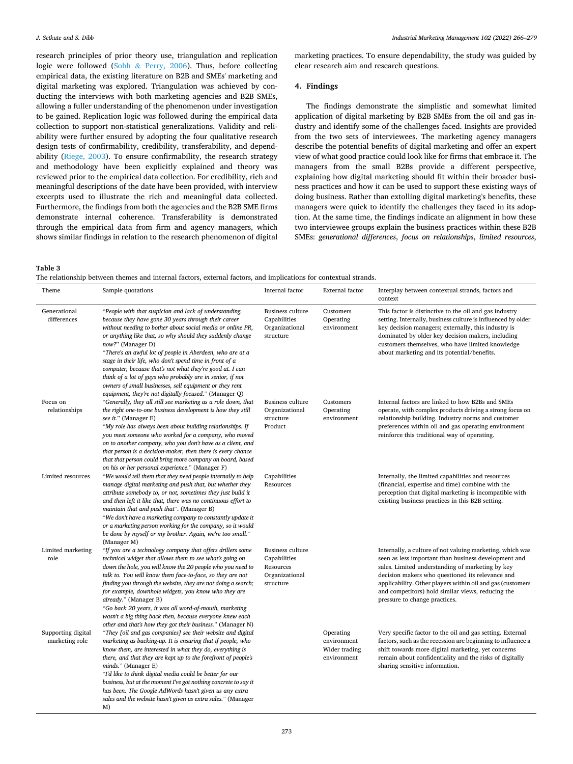<span id="page-8-0"></span>research principles of prior theory use, triangulation and replication logic were followed (Sobh & [Perry, 2006\)](#page-14-0). Thus, before collecting empirical data, the existing literature on B2B and SMEs' marketing and digital marketing was explored. Triangulation was achieved by conducting the interviews with both marketing agencies and B2B SMEs, allowing a fuller understanding of the phenomenon under investigation to be gained. Replication logic was followed during the empirical data collection to support non-statistical generalizations. Validity and reliability were further ensured by adopting the four qualitative research design tests of confirmability, credibility, transferability, and dependability ([Riege, 2003\)](#page-14-0). To ensure confirmability, the research strategy and methodology have been explicitly explained and theory was reviewed prior to the empirical data collection. For credibility, rich and meaningful descriptions of the date have been provided, with interview excerpts used to illustrate the rich and meaningful data collected. Furthermore, the findings from both the agencies and the B2B SME firms demonstrate internal coherence. Transferability is demonstrated through the empirical data from firm and agency managers, which shows similar findings in relation to the research phenomenon of digital marketing practices. To ensure dependability, the study was guided by clear research aim and research questions.

#### **4. Findings**

The findings demonstrate the simplistic and somewhat limited application of digital marketing by B2B SMEs from the oil and gas industry and identify some of the challenges faced. Insights are provided from the two sets of interviewees. The marketing agency managers describe the potential benefits of digital marketing and offer an expert view of what good practice could look like for firms that embrace it. The managers from the small B2Bs provide a different perspective, explaining how digital marketing should fit within their broader business practices and how it can be used to support these existing ways of doing business. Rather than extolling digital marketing's benefits, these managers were quick to identify the challenges they faced in its adoption. At the same time, the findings indicate an alignment in how these two interviewee groups explain the business practices within these B2B SMEs: *generational differences*, *focus on relationships*, *limited resources*,

**Table 3** 

| The relationship between themes and internal factors, external factors, and implications for contextual strands. |  |  |  |  |
|------------------------------------------------------------------------------------------------------------------|--|--|--|--|
|------------------------------------------------------------------------------------------------------------------|--|--|--|--|

| Theme                                | Sample quotations                                                                                                                                                                                                                                                                                                                                                                                                                                                                                                                                                                                                                    | Internal factor                                                                     | External factor                                          | Interplay between contextual strands, factors and<br>context                                                                                                                                                                                                                                                                                                                  |
|--------------------------------------|--------------------------------------------------------------------------------------------------------------------------------------------------------------------------------------------------------------------------------------------------------------------------------------------------------------------------------------------------------------------------------------------------------------------------------------------------------------------------------------------------------------------------------------------------------------------------------------------------------------------------------------|-------------------------------------------------------------------------------------|----------------------------------------------------------|-------------------------------------------------------------------------------------------------------------------------------------------------------------------------------------------------------------------------------------------------------------------------------------------------------------------------------------------------------------------------------|
| Generational<br>differences          | "People with that suspicion and lack of understanding,<br>because they have gone 30 years through their career<br>without needing to bother about social media or online PR,<br>or anything like that, so why should they suddenly change<br>now?" (Manager D)<br>"There's an awful lot of people in Aberdeen, who are at a<br>stage in their life, who don't spend time in front of a<br>computer, because that's not what they're good at. I can<br>think of a lot of guys who probably are in senior, if not<br>owners of small businesses, sell equipment or they rent<br>equipment, they're not digitally focused." (Manager Q) | <b>Business culture</b><br>Capabilities<br>Organizational<br>structure              | Customers<br>Operating<br>environment                    | This factor is distinctive to the oil and gas industry<br>setting. Internally, business culture is influenced by older<br>key decision managers; externally, this industry is<br>dominated by older key decision makers, including<br>customers themselves, who have limited knowledge<br>about marketing and its potential/benefits.                                         |
| Focus on<br>relationships            | "Generally, they all still see marketing as a role down, that<br>the right one-to-one business development is how they still<br>see it." (Manager E)<br>"My role has always been about building relationships. If<br>you meet someone who worked for a company, who moved<br>on to another company, who you don't have as a client, and<br>that person is a decision-maker, then there is every chance<br>that that person could bring more company on board, based<br>on his or her personal experience." (Manager F)                                                                                                               | <b>Business culture</b><br>Organizational<br>structure<br>Product                   | Customers<br>Operating<br>environment                    | Internal factors are linked to how B2Bs and SMEs<br>operate, with complex products driving a strong focus on<br>relationship building. Industry norms and customer<br>preferences within oil and gas operating environment<br>reinforce this traditional way of operating.                                                                                                    |
| Limited resources                    | "We would tell them that they need people internally to help<br>manage digital marketing and push that, but whether they<br>attribute somebody to, or not, sometimes they just build it<br>and then left it like that, there was no continuous effort to<br>maintain that and push that". (Manager B)<br>"We don't have a marketing company to constantly update it<br>or a marketing person working for the company, so it would<br>be done by myself or my brother. Again, we're too small."<br>(Manager M)                                                                                                                        | Capabilities<br>Resources                                                           |                                                          | Internally, the limited capabilities and resources<br>(financial, expertise and time) combine with the<br>perception that digital marketing is incompatible with<br>existing business practices in this B2B setting.                                                                                                                                                          |
| Limited marketing<br>role            | "If you are a technology company that offers drillers some<br>technical widget that allows them to see what's going on<br>down the hole, you will know the 20 people who you need to<br>talk to. You will know them face-to-face, so they are not<br>finding you through the website, they are not doing a search;<br>for example, downhole widgets, you know who they are<br>already." (Manager B)<br>"Go back 20 years, it was all word-of-mouth, marketing<br>wasn't a big thing back then, because everyone knew each<br>other and that's how they got their business." (Manager N)                                              | <b>Business culture</b><br>Capabilities<br>Resources<br>Organizational<br>structure |                                                          | Internally, a culture of not valuing marketing, which was<br>seen as less important than business development and<br>sales. Limited understanding of marketing by key<br>decision makers who questioned its relevance and<br>applicability. Other players within oil and gas (customers<br>and competitors) hold similar views, reducing the<br>pressure to change practices. |
| Supporting digital<br>marketing role | "They [oil and gas companies] see their website and digital<br>marketing as backing-up. It is ensuring that if people, who<br>know them, are interested in what they do, everything is<br>there, and that they are kept up to the forefront of people's<br>minds." (Manager E)<br>"I'd like to think digital media could be better for our<br>business, but at the moment I've got nothing concrete to say it<br>has been. The Google AdWords hasn't given us any extra<br>sales and the website hasn't given us extra sales." (Manager<br>M)                                                                                        |                                                                                     | Operating<br>environment<br>Wider trading<br>environment | Very specific factor to the oil and gas setting. External<br>factors, such as the recession are beginning to influence a<br>shift towards more digital marketing, yet concerns<br>remain about confidentiality and the risks of digitally<br>sharing sensitive information.                                                                                                   |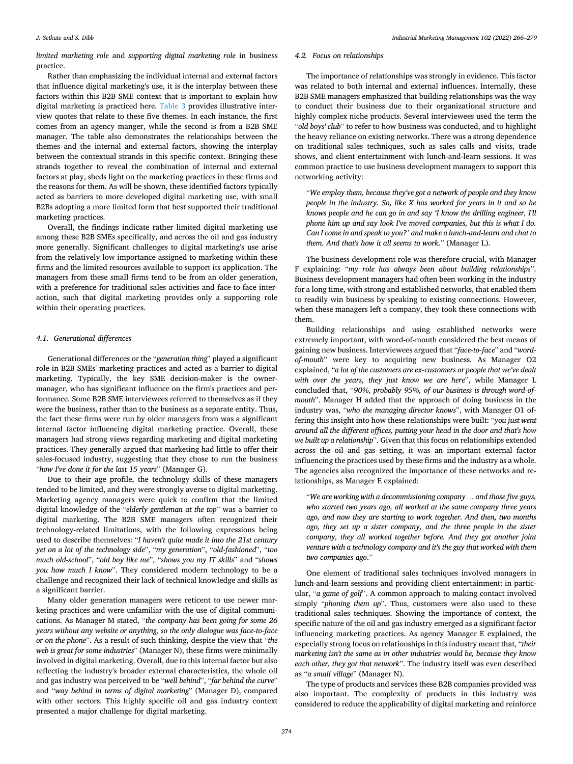*limited marketing role* and *supporting digital marketing role* in business practice.

Rather than emphasizing the individual internal and external factors that influence digital marketing's use, it is the interplay between these factors within this B2B SME context that is important to explain how digital marketing is practiced here. [Table 3](#page-8-0) provides illustrative interview quotes that relate to these five themes. In each instance, the first comes from an agency manger, while the second is from a B2B SME manager. The table also demonstrates the relationships between the themes and the internal and external factors, showing the interplay between the contextual strands in this specific context. Bringing these strands together to reveal the combination of internal and external factors at play, sheds light on the marketing practices in these firms and the reasons for them. As will be shown, these identified factors typically acted as barriers to more developed digital marketing use, with small B2Bs adopting a more limited form that best supported their traditional marketing practices.

Overall, the findings indicate rather limited digital marketing use among these B2B SMEs specifically, and across the oil and gas industry more generally. Significant challenges to digital marketing's use arise from the relatively low importance assigned to marketing within these firms and the limited resources available to support its application. The managers from these small firms tend to be from an older generation, with a preference for traditional sales activities and face-to-face interaction, such that digital marketing provides only a supporting role within their operating practices.

#### *4.1. Generational differences*

Generational differences or the "*generation thing*" played a significant role in B2B SMEs' marketing practices and acted as a barrier to digital marketing. Typically, the key SME decision-maker is the ownermanager, who has significant influence on the firm's practices and performance. Some B2B SME interviewees referred to themselves as if they were the business, rather than to the business as a separate entity. Thus, the fact these firms were run by older managers from was a significant internal factor influencing digital marketing practice. Overall, these managers had strong views regarding marketing and digital marketing practices. They generally argued that marketing had little to offer their sales-focused industry, suggesting that they chose to run the business "*how I've done it for the last 15 years*" (Manager G).

Due to their age profile, the technology skills of these managers tended to be limited, and they were strongly averse to digital marketing. Marketing agency managers were quick to confirm that the limited digital knowledge of the "*elderly gentleman at the top*" was a barrier to digital marketing. The B2B SME managers often recognized their technology-related limitations, with the following expressions being used to describe themselves: "*I haven't quite made it into the 21st century yet on a lot of the technology side*", "*my generation*", "*old-fashioned*", "*too much old-school*", "*old boy like me*", "*shows you my IT skills*" and "*shows you how much I know*". They considered modern technology to be a challenge and recognized their lack of technical knowledge and skills as a significant barrier.

Many older generation managers were reticent to use newer marketing practices and were unfamiliar with the use of digital communications. As Manager M stated, "*the company has been going for some 26 years without any website or anything, so the only dialogue was face-to-face or on the phone*". As a result of such thinking, despite the view that "*the web is great for some industries*" (Manager N), these firms were minimally involved in digital marketing. Overall, due to this internal factor but also reflecting the industry's broader external characteristics, the whole oil and gas industry was perceived to be "*well behind*", "*far behind the curve*" and "*way behind in terms of digital marketing*" (Manager D), compared with other sectors. This highly specific oil and gas industry context presented a major challenge for digital marketing.

#### *4.2. Focus on relationships*

The importance of relationships was strongly in evidence. This factor was related to both internal and external influences. Internally, these B2B SME managers emphasized that building relationships was the way to conduct their business due to their organizational structure and highly complex niche products. Several interviewees used the term the "*old boys' club*" to refer to how business was conducted, and to highlight the heavy reliance on existing networks. There was a strong dependence on traditional sales techniques, such as sales calls and visits, trade shows, and client entertainment with lunch-and-learn sessions. It was common practice to use business development managers to support this networking activity:

"*We employ them, because they've got a network of people and they know people in the industry. So, like X has worked for years in it and so he knows people and he can go in and say 'I know the drilling engineer, I'll phone him up and say look I've moved companies, but this is what I do. Can I come in and speak to you?' and make a lunch-and-learn and chat to them. And that's how it all seems to work.*" (Manager L).

The business development role was therefore crucial, with Manager F explaining: "*my role has always been about building relationships*". Business development managers had often been working in the industry for a long time, with strong and established networks, that enabled them to readily win business by speaking to existing connections. However, when these managers left a company, they took these connections with them.

Building relationships and using established networks were extremely important, with word-of-mouth considered the best means of gaining new business. Interviewees argued that "*face-to-face*" and "*wordof-mouth*" were key to acquiring new business. As Manager O2 explained, "*a lot of the customers are ex-customers or people that we've dealt with over the years, they just know we are here*", while Manager L concluded that, "*90%, probably 95%, of our business is through word-ofmouth*". Manager H added that the approach of doing business in the industry was, "*who the managing director knows*", with Manager O1 offering this insight into how these relationships were built: "*you just went around all the different offices, putting your head in the door and that's how we built up a relationship*". Given that this focus on relationships extended across the oil and gas setting, it was an important external factor influencing the practices used by these firms and the industry as a whole. The agencies also recognized the importance of these networks and relationships, as Manager E explained:

"*We are working with a decommissioning company … and those five guys, who started two years ago, all worked at the same company three years ago, and now they are starting to work together. And then, two months ago, they set up a sister company, and the three people in the sister company, they all worked together before. And they got another joint venture with a technology company and it's the guy that worked with them two companies ago*."

One element of traditional sales techniques involved managers in lunch-and-learn sessions and providing client entertainment: in particular, "*a game of golf*". A common approach to making contact involved simply "*phoning them up*". Thus, customers were also used to these traditional sales techniques. Showing the importance of context, the specific nature of the oil and gas industry emerged as a significant factor influencing marketing practices. As agency Manager E explained, the especially strong focus on relationships in this industry meant that, "*their marketing isn't the same as in other industries would be, because they know each other, they got that network*". The industry itself was even described as "*a small village*" (Manager N).

The type of products and services these B2B companies provided was also important. The complexity of products in this industry was considered to reduce the applicability of digital marketing and reinforce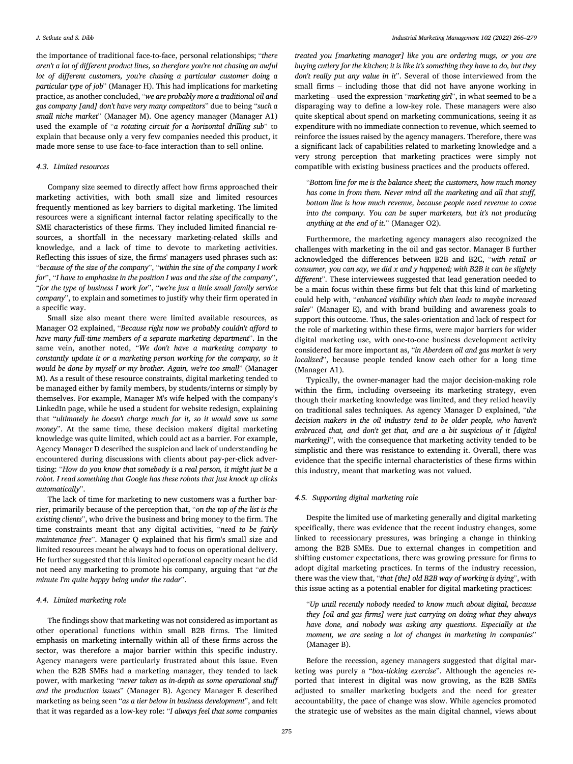the importance of traditional face-to-face, personal relationships; "*there aren't a lot of different product lines, so therefore you're not chasing an awful lot of different customers, you're chasing a particular customer doing a particular type of job*" (Manager H). This had implications for marketing practice, as another concluded, "*we are probably more a traditional oil and gas company [and] don't have very many competitors*" due to being "*such a small niche market*" (Manager M). One agency manager (Manager A1) used the example of "*a rotating circuit for a horizontal drilling sub*" to explain that because only a very few companies needed this product, it made more sense to use face-to-face interaction than to sell online.

#### *4.3. Limited resources*

Company size seemed to directly affect how firms approached their marketing activities, with both small size and limited resources frequently mentioned as key barriers to digital marketing. The limited resources were a significant internal factor relating specifically to the SME characteristics of these firms. They included limited financial resources, a shortfall in the necessary marketing-related skills and knowledge, and a lack of time to devote to marketing activities. Reflecting this issues of size, the firms' managers used phrases such as: "*because of the size of the company*", "*within the size of the company I work for*", "*I have to emphasize in the position I was and the size of the company*", "*for the type of business I work for*", "*we're just a little small family service company*", to explain and sometimes to justify why their firm operated in a specific way.

Small size also meant there were limited available resources, as Manager O2 explained, "*Because right now we probably couldn't afford to have many full-time members of a separate marketing department*". In the same vein, another noted, "*We don't have a marketing company to constantly update it or a marketing person working for the company, so it would be done by myself or my brother. Again, we're too small*" (Manager M). As a result of these resource constraints, digital marketing tended to be managed either by family members, by students/interns or simply by themselves. For example, Manager M's wife helped with the company's LinkedIn page, while he used a student for website redesign, explaining that "*ultimately he doesn't charge much for it, so it would save us some money*". At the same time, these decision makers' digital marketing knowledge was quite limited, which could act as a barrier. For example, Agency Manager D described the suspicion and lack of understanding he encountered during discussions with clients about pay-per-click advertising: "*How do you know that somebody is a real person, it might just be a robot. I read something that Google has these robots that just knock up clicks automatically*".

The lack of time for marketing to new customers was a further barrier, primarily because of the perception that, "*on the top of the list is the existing clients*", who drive the business and bring money to the firm. The time constraints meant that any digital activities, "*need to be fairly maintenance free*". Manager Q explained that his firm's small size and limited resources meant he always had to focus on operational delivery. He further suggested that this limited operational capacity meant he did not need any marketing to promote his company, arguing that "*at the minute I'm quite happy being under the radar*".

#### *4.4. Limited marketing role*

The findings show that marketing was not considered as important as other operational functions within small B2B firms. The limited emphasis on marketing internally within all of these firms across the sector, was therefore a major barrier within this specific industry. Agency managers were particularly frustrated about this issue. Even when the B2B SMEs had a marketing manager, they tended to lack power, with marketing "*never taken as in-depth as some operational stuff and the production issues*" (Manager B). Agency Manager E described marketing as being seen "*as a tier below in business development*", and felt that it was regarded as a low-key role: "*I always feel that some companies* 

*treated you [marketing manager] like you are ordering mugs, or you are buying cutlery for the kitchen; it is like it's something they have to do, but they don't really put any value in it*". Several of those interviewed from the small firms – including those that did not have anyone working in marketing – used the expression "*marketing girl*", in what seemed to be a disparaging way to define a low-key role. These managers were also quite skeptical about spend on marketing communications, seeing it as expenditure with no immediate connection to revenue, which seemed to reinforce the issues raised by the agency managers. Therefore, there was a significant lack of capabilities related to marketing knowledge and a very strong perception that marketing practices were simply not compatible with existing business practices and the products offered.

"*Bottom line for me is the balance sheet; the customers, how much money has come in from them. Never mind all the marketing and all that stuff, bottom line is how much revenue, because people need revenue to come into the company. You can be super marketers, but it's not producing anything at the end of it*." (Manager O2).

Furthermore, the marketing agency managers also recognized the challenges with marketing in the oil and gas sector. Manager B further acknowledged the differences between B2B and B2C, "*with retail or consumer, you can say, we did x and y happened; with B2B it can be slightly different*". These interviewees suggested that lead generation needed to be a main focus within these firms but felt that this kind of marketing could help with, "*enhanced visibility which then leads to maybe increased sales*" (Manager E), and with brand building and awareness goals to support this outcome. Thus, the sales-orientation and lack of respect for the role of marketing within these firms, were major barriers for wider digital marketing use, with one-to-one business development activity considered far more important as, "*in Aberdeen oil and gas market is very localized*", because people tended know each other for a long time (Manager A1).

Typically, the owner-manager had the major decision-making role within the firm, including overseeing its marketing strategy, even though their marketing knowledge was limited, and they relied heavily on traditional sales techniques. As agency Manager D explained, "*the decision makers in the oil industry tend to be older people, who haven't embraced that, and don't get that, and are a bit suspicious of it [digital marketing]*", with the consequence that marketing activity tended to be simplistic and there was resistance to extending it. Overall, there was evidence that the specific internal characteristics of these firms within this industry, meant that marketing was not valued.

#### *4.5. Supporting digital marketing role*

Despite the limited use of marketing generally and digital marketing specifically, there was evidence that the recent industry changes, some linked to recessionary pressures, was bringing a change in thinking among the B2B SMEs. Due to external changes in competition and shifting customer expectations, there was growing pressure for firms to adopt digital marketing practices. In terms of the industry recession, there was the view that, "*that [the] old B2B way of working is dying*", with this issue acting as a potential enabler for digital marketing practices:

"*Up until recently nobody needed to know much about digital, because they [oil and gas firms] were just carrying on doing what they always have done, and nobody was asking any questions*. *Especially at the moment, we are seeing a lot of changes in marketing in companies*" (Manager B).

Before the recession, agency managers suggested that digital marketing was purely a "*box-ticking exercise*". Although the agencies reported that interest in digital was now growing, as the B2B SMEs adjusted to smaller marketing budgets and the need for greater accountability, the pace of change was slow. While agencies promoted the strategic use of websites as the main digital channel, views about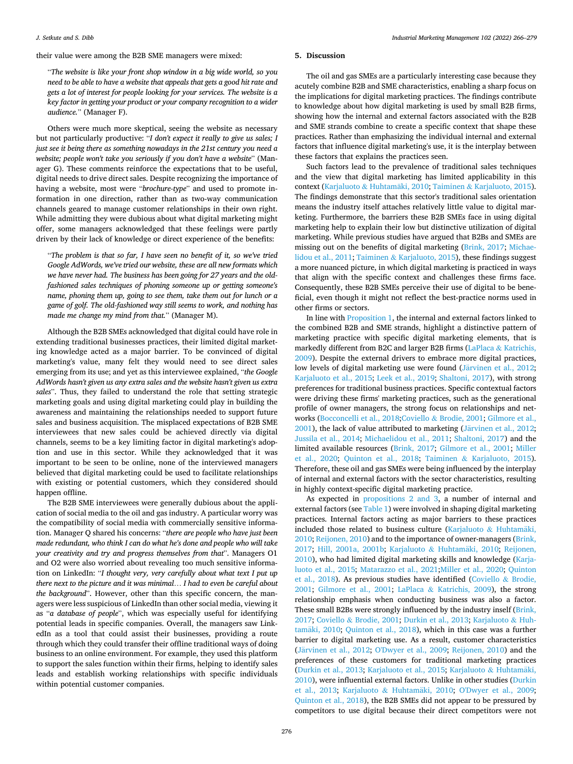their value were among the B2B SME managers were mixed:

"*The website is like your front shop window in a big wide world, so you need to be able to have a website that appeals that gets a good hit rate and gets a lot of interest for people looking for your services. The website is a key factor in getting your product or your company recognition to a wider audience.*" (Manager F).

Others were much more skeptical, seeing the website as necessary but not particularly productive: "*I don't expect it really to give us sales; I just see it being there as something nowadays in the 21st century you need a website; people won't take you seriously if you don't have a website*" (Manager G). These comments reinforce the expectations that to be useful, digital needs to drive direct sales. Despite recognizing the importance of having a website, most were "*brochure-type*" and used to promote information in one direction, rather than as two-way communication channels geared to manage customer relationships in their own right. While admitting they were dubious about what digital marketing might offer, some managers acknowledged that these feelings were partly driven by their lack of knowledge or direct experience of the benefits:

"*The problem is that so far, I have seen no benefit of it, so we've tried Google AdWords, we've tried our website, these are all new formats which we have never had. The business has been going for 27 years and the oldfashioned sales techniques of phoning someone up or getting someone's name, phoning them up, going to see them, take them out for lunch or a game of golf. The old-fashioned way still seems to work, and nothing has made me change my mind from that.*" (Manager M).

Although the B2B SMEs acknowledged that digital could have role in extending traditional businesses practices, their limited digital marketing knowledge acted as a major barrier. To be convinced of digital marketing's value, many felt they would need to see direct sales emerging from its use; and yet as this interviewee explained, "*the Google AdWords hasn't given us any extra sales and the website hasn't given us extra sales*". Thus, they failed to understand the role that setting strategic marketing goals and using digital marketing could play in building the awareness and maintaining the relationships needed to support future sales and business acquisition. The misplaced expectations of B2B SME interviewees that new sales could be achieved directly via digital channels, seems to be a key limiting factor in digital marketing's adoption and use in this sector. While they acknowledged that it was important to be seen to be online, none of the interviewed managers believed that digital marketing could be used to facilitate relationships with existing or potential customers, which they considered should happen offline.

The B2B SME interviewees were generally dubious about the application of social media to the oil and gas industry. A particular worry was the compatibility of social media with commercially sensitive information. Manager Q shared his concerns: "*there are people who have just been made redundant, who think I can do what he's done and people who will take your creativity and try and progress themselves from that*". Managers O1 and O2 were also worried about revealing too much sensitive information on LinkedIn: "*I thought very, very carefully about what text I put up there next to the picture and it was minimal*… *I had to even be careful about the background*". However, other than this specific concern, the managers were less suspicious of LinkedIn than other social media, viewing it as "*a database of people*", which was especially useful for identifying potential leads in specific companies. Overall, the managers saw LinkedIn as a tool that could assist their businesses, providing a route through which they could transfer their offline traditional ways of doing business to an online environment. For example, they used this platform to support the sales function within their firms, helping to identify sales leads and establish working relationships with specific individuals within potential customer companies.

#### **5. Discussion**

The oil and gas SMEs are a particularly interesting case because they acutely combine B2B and SME characteristics, enabling a sharp focus on the implications for digital marketing practices. The findings contribute to knowledge about how digital marketing is used by small B2B firms, showing how the internal and external factors associated with the B2B and SME strands combine to create a specific context that shape these practices. Rather than emphasizing the individual internal and external factors that influence digital marketing's use, it is the interplay between these factors that explains the practices seen.

Such factors lead to the prevalence of traditional sales techniques and the view that digital marketing has limited applicability in this context (Karjaluoto & Huhtamäki, 2010; Taiminen & [Karjaluoto, 2015](#page-14-0)). The findings demonstrate that this sector's traditional sales orientation means the industry itself attaches relatively little value to digital marketing. Furthermore, the barriers these B2B SMEs face in using digital marketing help to explain their low but distinctive utilization of digital marketing. While previous studies have argued that B2Bs and SMEs are missing out on the benefits of digital marketing ([Brink, 2017;](#page-13-0) [Michae](#page-14-0)[lidou et al., 2011](#page-14-0); Taiminen & [Karjaluoto, 2015\)](#page-14-0), these findings suggest a more nuanced picture, in which digital marketing is practiced in ways that align with the specific context and challenges these firms face. Consequently, these B2B SMEs perceive their use of digital to be beneficial, even though it might not reflect the best-practice norms used in other firms or sectors.

In line with [Proposition 1,](#page-3-0) the internal and external factors linked to the combined B2B and SME strands, highlight a distinctive pattern of marketing practice with specific digital marketing elements, that is markedly different from B2C and larger B2B firms (LaPlaca & [Katrichis,](#page-14-0)  [2009\)](#page-14-0). Despite the external drivers to embrace more digital practices, low levels of digital marketing use were found (Järvinen et al., 2012; [Karjaluoto et al., 2015](#page-14-0); [Leek et al., 2019](#page-14-0); [Shaltoni, 2017](#page-14-0)), with strong preferences for traditional business practices. Specific contextual factors were driving these firms' marketing practices, such as the generational profile of owner managers, the strong focus on relationships and networks ([Bocconcelli et al., 2018](#page-13-0);Coviello & [Brodie, 2001; Gilmore et al.,](#page-13-0)   $2001$ ), the lack of value attributed to marketing (Järvinen et al., 2012; [Jussila et al., 2014](#page-14-0); [Michaelidou et al., 2011](#page-14-0); [Shaltoni, 2017\)](#page-14-0) and the limited available resources [\(Brink, 2017;](#page-13-0) [Gilmore et al., 2001](#page-13-0); [Miller](#page-14-0)  [et al., 2020](#page-14-0); [Quinton et al., 2018;](#page-14-0) Taiminen & [Karjaluoto, 2015](#page-14-0)). Therefore, these oil and gas SMEs were being influenced by the interplay of internal and external factors with the sector characteristics, resulting in highly context-specific digital marketing practice.

As expected in [propositions 2 and 3,](#page-3-0) a number of internal and external factors (see [Table 1\)](#page-4-0) were involved in shaping digital marketing practices. Internal factors acting as major barriers to these practices included those related to business culture (Karjaluoto  $\&$  Huhtamäki, [2010; Reijonen, 2010\)](#page-14-0) and to the importance of owner-managers [\(Brink,](#page-13-0)  [2017;](#page-13-0) [Hill, 2001a, 2001b](#page-14-0); Karjaluoto & Huhtamäki, 2010; Reijonen, [2010\)](#page-14-0), who had limited digital marketing skills and knowledge [\(Karja](#page-14-0)[luoto et al., 2015](#page-14-0); [Matarazzo et al., 2021;Miller et al., 2020;](#page-14-0) [Quinton](#page-14-0)  [et al., 2018\)](#page-14-0). As previous studies have identified ([Coviello](#page-13-0) & Brodie, [2001;](#page-13-0) [Gilmore et al., 2001](#page-13-0); LaPlaca & [Katrichis, 2009\)](#page-14-0), the strong relationship emphasis when conducting business was also a factor. These small B2Bs were strongly influenced by the industry inself [\(Brink,](#page-13-0)  [2017;](#page-13-0) Coviello & [Brodie, 2001](#page-13-0); [Durkin et al., 2013](#page-13-0); [Karjaluoto](#page-14-0) & Huh-tamäki, 2010; [Quinton et al., 2018\)](#page-14-0), which in this case was a further barrier to digital marketing use. As a result, customer characteristics (Järvinen [et al., 2012;](#page-14-0) [O'Dwyer et al., 2009;](#page-14-0) [Reijonen, 2010](#page-14-0)) and the preferences of these customers for traditional marketing practices ([Durkin et al., 2013](#page-13-0); [Karjaluoto et al., 2015;](#page-14-0) Karjaluoto & Huhtamäki, [2010\)](#page-14-0), were influential external factors. Unlike in other studies [\(Durkin](#page-13-0)  [et al., 2013](#page-13-0); Karjaluoto & Huhtamäki, 2010; [O'Dwyer et al., 2009](#page-14-0); [Quinton et al., 2018](#page-14-0)), the B2B SMEs did not appear to be pressured by competitors to use digital because their direct competitors were not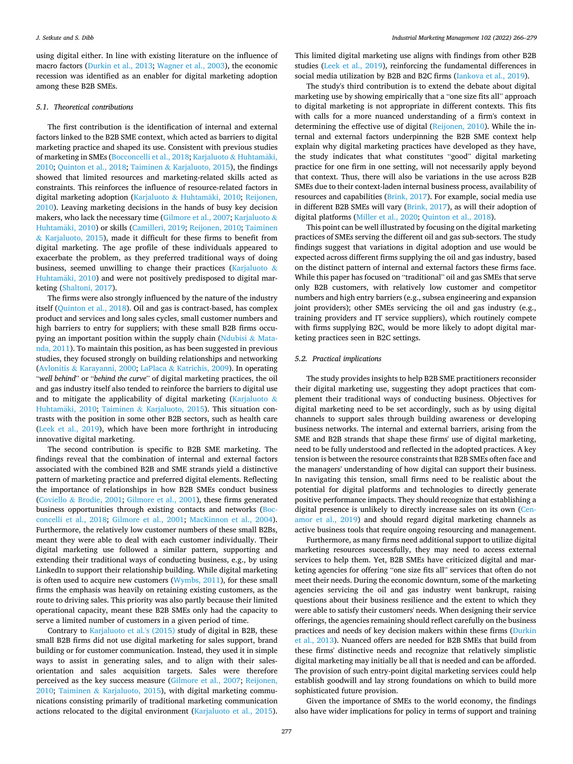using digital either. In line with existing literature on the influence of macro factors [\(Durkin et al., 2013;](#page-13-0) [Wagner et al., 2003\)](#page-14-0), the economic recession was identified as an enabler for digital marketing adoption among these B2B SMEs.

#### *5.1. Theoretical contributions*

The first contribution is the identification of internal and external factors linked to the B2B SME context, which acted as barriers to digital marketing practice and shaped its use. Consistent with previous studies of marketing in SMEs [\(Bocconcelli et al., 2018;](#page-13-0) Karjaluoto & [Huhtamaki,](#page-14-0) ¨ [2010; Quinton et al., 2018](#page-14-0); Taiminen & [Karjaluoto, 2015](#page-14-0)), the findings showed that limited resources and marketing-related skills acted as constraints. This reinforces the influence of resource-related factors in digital marketing adoption [\(Karjaluoto](#page-14-0) & Huhtamäki, 2010; Reijonen, [2010\)](#page-14-0). Leaving marketing decisions in the hands of busy key decision makers, who lack the necessary time ([Gilmore et al., 2007;](#page-13-0) [Karjaluoto](#page-14-0) & Huhtamäki, 2010) or skills ([Camilleri, 2019;](#page-13-0) Reijonen, 2010; Taiminen & [Karjaluoto, 2015](#page-14-0)), made it difficult for these firms to benefit from digital marketing. The age profile of these individuals appeared to exacerbate the problem, as they preferred traditional ways of doing business, seemed unwilling to change their practices [\(Karjaluoto](#page-14-0)  $\&$ Huhtamäki, 2010) and were not positively predisposed to digital marketing [\(Shaltoni, 2017\)](#page-14-0).

The firms were also strongly influenced by the nature of the industry itself [\(Quinton et al., 2018](#page-14-0)). Oil and gas is contract-based, has complex product and services and long sales cycles, small customer numbers and high barriers to entry for suppliers; with these small B2B firms occu-pying an important position within the supply chain ([Ndubisi](#page-14-0)  $\&$  Mata[nda, 2011\)](#page-14-0). To maintain this position, as has been suggested in previous studies, they focused strongly on building relationships and networking (Avlonitis & [Karayanni, 2000;](#page-13-0) LaPlaca & [Katrichis, 2009\)](#page-14-0). In operating "*well behind*" or "*behind the curve*" of digital marketing practices, the oil and gas industry itself also tended to reinforce the barriers to digital use and to mitigate the applicability of digital marketing ([Karjaluoto](#page-14-0)  $\&$ Huhtamäki, 2010; Taiminen & [Karjaluoto, 2015\)](#page-14-0). This situation contrasts with the position in some other B2B sectors, such as health care ([Leek et al., 2019](#page-14-0)), which have been more forthright in introducing innovative digital marketing.

The second contribution is specific to B2B SME marketing. The findings reveal that the combination of internal and external factors associated with the combined B2B and SME strands yield a distinctive pattern of marketing practice and preferred digital elements. Reflecting the importance of relationships in how B2B SMEs conduct business (Coviello & [Brodie, 2001](#page-13-0); [Gilmore et al., 2001](#page-13-0)), these firms generated business opportunities through existing contacts and networks [\(Boc](#page-13-0)[concelli et al., 2018](#page-13-0); [Gilmore et al., 2001](#page-13-0); [MacKinnon et al., 2004](#page-14-0)). Furthermore, the relatively low customer numbers of these small B2Bs, meant they were able to deal with each customer individually. Their digital marketing use followed a similar pattern, supporting and extending their traditional ways of conducting business, e.g., by using LinkedIn to support their relationship building. While digital marketing is often used to acquire new customers ([Wymbs, 2011](#page-14-0)), for these small firms the emphasis was heavily on retaining existing customers, as the route to driving sales. This priority was also partly because their limited operational capacity, meant these B2B SMEs only had the capacity to serve a limited number of customers in a given period of time.

Contrary to [Karjaluoto et al.'s \(2015\)](#page-14-0) study of digital in B2B, these small B2B firms did not use digital marketing for sales support, brand building or for customer communication. Instead, they used it in simple ways to assist in generating sales, and to align with their salesorientation and sales acquisition targets. Sales were therefore perceived as the key success measure ([Gilmore et al., 2007](#page-13-0); [Reijonen,](#page-14-0)  [2010;](#page-14-0) Taiminen & [Karjaluoto, 2015](#page-14-0)), with digital marketing communications consisting primarily of traditional marketing communication actions relocated to the digital environment [\(Karjaluoto et al., 2015](#page-14-0)).

This limited digital marketing use aligns with findings from other B2B studies ([Leek et al., 2019\)](#page-14-0), reinforcing the fundamental differences in social media utilization by B2B and B2C firms ([Iankova et al., 2019](#page-14-0)).

The study's third contribution is to extend the debate about digital marketing use by showing empirically that a "one size fits all" approach to digital marketing is not appropriate in different contexts. This fits with calls for a more nuanced understanding of a firm's context in determining the effective use of digital ([Reijonen, 2010\)](#page-14-0). While the internal and external factors underpinning the B2B SME context help explain why digital marketing practices have developed as they have, the study indicates that what constitutes "good" digital marketing practice for one firm in one setting, will not necessarily apply beyond that context. Thus, there will also be variations in the use across B2B SMEs due to their context-laden internal business process, availability of resources and capabilities ([Brink, 2017](#page-13-0)). For example, social media use in different B2B SMEs will vary [\(Brink, 2017\)](#page-13-0), as will their adoption of digital platforms ([Miller et al., 2020](#page-14-0); [Quinton et al., 2018\)](#page-14-0).

This point can be well illustrated by focusing on the digital marketing practices of SMEs serving the different oil and gas sub-sectors. The study findings suggest that variations in digital adoption and use would be expected across different firms supplying the oil and gas industry, based on the distinct pattern of internal and external factors these firms face. While this paper has focused on "traditional" oil and gas SMEs that serve only B2B customers, with relatively low customer and competitor numbers and high entry barriers (e.g., subsea engineering and expansion joint providers); other SMEs servicing the oil and gas industry (e.g., training providers and IT service suppliers), which routinely compete with firms supplying B2C, would be more likely to adopt digital marketing practices seen in B2C settings.

#### *5.2. Practical implications*

The study provides insights to help B2B SME practitioners reconsider their digital marketing use, suggesting they adopt practices that complement their traditional ways of conducting business. Objectives for digital marketing need to be set accordingly, such as by using digital channels to support sales through building awareness or developing business networks. The internal and external barriers, arising from the SME and B2B strands that shape these firms' use of digital marketing, need to be fully understood and reflected in the adopted practices. A key tension is between the resource constraints that B2B SMEs often face and the managers' understanding of how digital can support their business. In navigating this tension, small firms need to be realistic about the potential for digital platforms and technologies to directly generate positive performance impacts. They should recognize that establishing a digital presence is unlikely to directly increase sales on its own ([Cen](#page-13-0)[amor et al., 2019\)](#page-13-0) and should regard digital marketing channels as active business tools that require ongoing resourcing and management.

Furthermore, as many firms need additional support to utilize digital marketing resources successfully, they may need to access external services to help them. Yet, B2B SMEs have criticized digital and marketing agencies for offering "one size fits all" services that often do not meet their needs. During the economic downturn, some of the marketing agencies servicing the oil and gas industry went bankrupt, raising questions about their business resilience and the extent to which they were able to satisfy their customers' needs. When designing their service offerings, the agencies remaining should reflect carefully on the business practices and needs of key decision makers within these firms [\(Durkin](#page-13-0)  [et al., 2013](#page-13-0)). Nuanced offers are needed for B2B SMEs that build from these firms' distinctive needs and recognize that relatively simplistic digital marketing may initially be all that is needed and can be afforded. The provision of such entry-point digital marketing services could help establish goodwill and lay strong foundations on which to build more sophisticated future provision.

Given the importance of SMEs to the world economy, the findings also have wider implications for policy in terms of support and training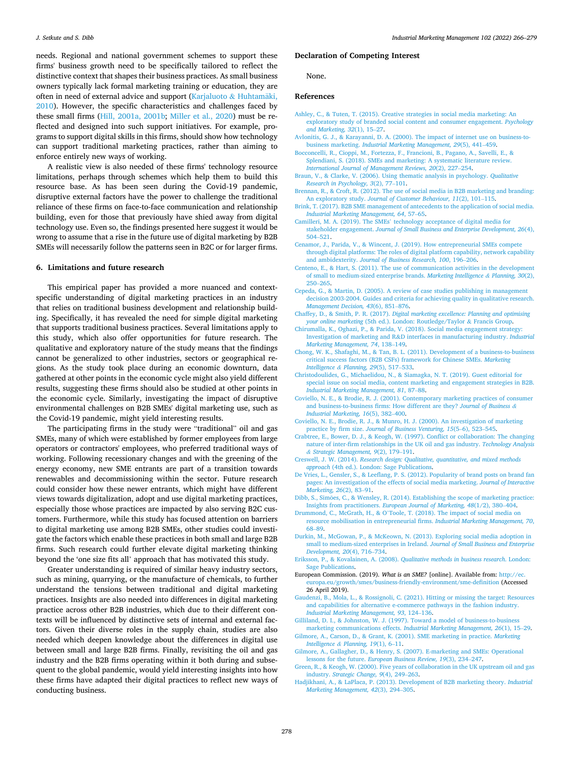<span id="page-13-0"></span>needs. Regional and national government schemes to support these firms' business growth need to be specifically tailored to reflect the distinctive context that shapes their business practices. As small business owners typically lack formal marketing training or education, they are often in need of external advice and support (Karjaluoto  $\&$  Huhtamäki, [2010\)](#page-14-0). However, the specific characteristics and challenges faced by these small firms [\(Hill, 2001a, 2001b;](#page-14-0) [Miller et al., 2020](#page-14-0)) must be reflected and designed into such support initiatives. For example, programs to support digital skills in this firms, should show how technology can support traditional marketing practices, rather than aiming to enforce entirely new ways of working.

A realistic view is also needed of these firms' technology resource limitations, perhaps through schemes which help them to build this resource base. As has been seen during the Covid-19 pandemic, disruptive external factors have the power to challenge the traditional reliance of these firms on face-to-face communication and relationship building, even for those that previously have shied away from digital technology use. Even so, the findings presented here suggest it would be wrong to assume that a rise in the future use of digital marketing by B2B SMEs will necessarily follow the patterns seen in B2C or for larger firms.

#### **6. Limitations and future research**

This empirical paper has provided a more nuanced and contextspecific understanding of digital marketing practices in an industry that relies on traditional business development and relationship building. Specifically, it has revealed the need for simple digital marketing that supports traditional business practices. Several limitations apply to this study, which also offer opportunities for future research. The qualitative and exploratory nature of the study means that the findings cannot be generalized to other industries, sectors or geographical regions. As the study took place during an economic downturn, data gathered at other points in the economic cycle might also yield different results, suggesting these firms should also be studied at other points in the economic cycle. Similarly, investigating the impact of disruptive environmental challenges on B2B SMEs' digital marketing use, such as the Covid-19 pandemic, might yield interesting results.

The participating firms in the study were "traditional" oil and gas SMEs, many of which were established by former employees from large operators or contractors' employees, who preferred traditional ways of working. Following recessionary changes and with the greening of the energy economy, new SME entrants are part of a transition towards renewables and decommissioning within the sector. Future research could consider how these newer entrants, which might have different views towards digitalization, adopt and use digital marketing practices, especially those whose practices are impacted by also serving B2C customers. Furthermore, while this study has focused attention on barriers to digital marketing use among B2B SMEs, other studies could investigate the factors which enable these practices in both small and large B2B firms. Such research could further elevate digital marketing thinking beyond the 'one size fits all' approach that has motivated this study.

Greater understanding is required of similar heavy industry sectors, such as mining, quarrying, or the manufacture of chemicals, to further understand the tensions between traditional and digital marketing practices. Insights are also needed into differences in digital marketing practice across other B2B industries, which due to their different contexts will be influenced by distinctive sets of internal and external factors. Given their diverse roles in the supply chain, studies are also needed which deepen knowledge about the differences in digital use between small and large B2B firms. Finally, revisiting the oil and gas industry and the B2B firms operating within it both during and subsequent to the global pandemic, would yield interesting insights into how these firms have adapted their digital practices to reflect new ways of conducting business.

#### **Declaration of Competing Interest**

None.

#### **References**

- [Ashley, C., & Tuten, T. \(2015\). Creative strategies in social media marketing: An](http://refhub.elsevier.com/S0019-8501(22)00022-0/rf0005)  [exploratory study of branded social content and consumer engagement.](http://refhub.elsevier.com/S0019-8501(22)00022-0/rf0005) *Psychology [and Marketing, 32](http://refhub.elsevier.com/S0019-8501(22)00022-0/rf0005)*(1), 15–27.
- [Avlonitis, G. J., & Karayanni, D. A. \(2000\). The impact of internet use on business-to](http://refhub.elsevier.com/S0019-8501(22)00022-0/rf0010)business marketing. *[Industrial Marketing Management, 29](http://refhub.elsevier.com/S0019-8501(22)00022-0/rf0010)*(5), 441–459.
- [Bocconcelli, R., Cioppi, M., Fortezza, F., Francioni, B., Pagano, A., Savelli, E., &](http://refhub.elsevier.com/S0019-8501(22)00022-0/rf0015) [Splendiani, S. \(2018\). SMEs and marketing: A systematic literature review.](http://refhub.elsevier.com/S0019-8501(22)00022-0/rf0015) *[International Journal of Management Reviews, 20](http://refhub.elsevier.com/S0019-8501(22)00022-0/rf0015)*(2), 227–254.
- [Braun, V., & Clarke, V. \(2006\). Using thematic analysis in psychology.](http://refhub.elsevier.com/S0019-8501(22)00022-0/rf0020) *Qualitative [Research in Psychology, 3](http://refhub.elsevier.com/S0019-8501(22)00022-0/rf0020)*(2), 77–101.
- [Brennan, R., & Croft, R. \(2012\). The use of social media in B2B marketing and branding:](http://refhub.elsevier.com/S0019-8501(22)00022-0/rf0025)  An exploratory study. *[Journal of Customer Behaviour, 11](http://refhub.elsevier.com/S0019-8501(22)00022-0/rf0025)*(2), 101–115.
- [Brink, T. \(2017\). B2B SME management of antecedents to the application of social media.](http://refhub.elsevier.com/S0019-8501(22)00022-0/rf0030)  *[Industrial Marketing Management, 64](http://refhub.elsevier.com/S0019-8501(22)00022-0/rf0030)*, 57–65.
- Camilleri, M. A. (2019). The SMEs' [technology acceptance of digital media for](http://refhub.elsevier.com/S0019-8501(22)00022-0/rf0035) stakeholder engagement. *[Journal of Small Business and Enterprise Development, 26](http://refhub.elsevier.com/S0019-8501(22)00022-0/rf0035)*(4), 504–[521](http://refhub.elsevier.com/S0019-8501(22)00022-0/rf0035).
- [Cenamor, J., Parida, V., & Wincent, J. \(2019\). How entrepreneurial SMEs compete](http://refhub.elsevier.com/S0019-8501(22)00022-0/rf0040)  [through digital platforms: The roles of digital platform capability, network capability](http://refhub.elsevier.com/S0019-8501(22)00022-0/rf0040)  and ambidexterity. *[Journal of Business Research, 100](http://refhub.elsevier.com/S0019-8501(22)00022-0/rf0040)*, 196–206.
- [Centeno, E., & Hart, S. \(2011\). The use of communication activities in the development](http://refhub.elsevier.com/S0019-8501(22)00022-0/rf0045)  [of small to medium-sized enterprise brands.](http://refhub.elsevier.com/S0019-8501(22)00022-0/rf0045) *Marketing Intelligence & Planning, 30*(2), 250–[265](http://refhub.elsevier.com/S0019-8501(22)00022-0/rf0045).
- [Cepeda, G., & Martin, D. \(2005\). A review of case studies publishing in management](http://refhub.elsevier.com/S0019-8501(22)00022-0/rf0050)  [decision 2003-2004. Guides and criteria for achieving quality in qualitative research.](http://refhub.elsevier.com/S0019-8501(22)00022-0/rf0050)  *[Management Decision, 43](http://refhub.elsevier.com/S0019-8501(22)00022-0/rf0050)*(6), 851–876.
- Chaffey, D., & Smith, P. R. (2017). *[Digital marketing excellence: Planning and optimising](http://refhub.elsevier.com/S0019-8501(22)00022-0/rf0055) your online marketing* [\(5th ed.\). London: Routledge/Taylor](http://refhub.elsevier.com/S0019-8501(22)00022-0/rf0055) & Francis Group.
- [Chirumalla, K., Oghazi, P., & Parida, V. \(2018\). Social media engagement strategy:](http://refhub.elsevier.com/S0019-8501(22)00022-0/rf0060)  Investigation of marketing and R&[D interfaces in manufacturing industry.](http://refhub.elsevier.com/S0019-8501(22)00022-0/rf0060) *Industrial [Marketing Management, 74](http://refhub.elsevier.com/S0019-8501(22)00022-0/rf0060)*, 138–149.
- [Chong, W. K., Shafaghi, M., & Tan, B. L. \(2011\). Development of a business-to-business](http://refhub.elsevier.com/S0019-8501(22)00022-0/rf0065)  [critical success factors \(B2B CSFs\) framework for Chinese SMEs.](http://refhub.elsevier.com/S0019-8501(22)00022-0/rf0065) *Marketing Intelligence & [Planning, 29](http://refhub.elsevier.com/S0019-8501(22)00022-0/rf0065)*(5), 517–533.
- [Christodoulides, G., Michaelidou, N., & Siamagka, N. T. \(2019\). Guest editorial for](http://refhub.elsevier.com/S0019-8501(22)00022-0/rf0070)  [special issue on social media, content marketing and engagement strategies in B2B.](http://refhub.elsevier.com/S0019-8501(22)00022-0/rf0070)  *[Industrial Marketing Management, 81](http://refhub.elsevier.com/S0019-8501(22)00022-0/rf0070)*, 87–88.
- [Coviello, N. E., & Brodie, R. J. \(2001\). Contemporary marketing practices of consumer](http://refhub.elsevier.com/S0019-8501(22)00022-0/rf0080) [and business-to-business firms: How different are they?](http://refhub.elsevier.com/S0019-8501(22)00022-0/rf0080) *Journal of Business & [Industrial Marketing, 16](http://refhub.elsevier.com/S0019-8501(22)00022-0/rf0080)*(5), 382–400.
- [Coviello, N. E., Brodie, R. J., & Munro, H. J. \(2000\). An investigation of marketing](http://refhub.elsevier.com/S0019-8501(22)00022-0/optYVe2XYMAiJ)  practice by firm size. *[Journal of Business Venturing, 15](http://refhub.elsevier.com/S0019-8501(22)00022-0/optYVe2XYMAiJ)*(5–6), 523–545.
- [Crabtree, E., Bower, D. J., & Keogh, W. \(1997\). Conflict or collaboration: The changing](http://refhub.elsevier.com/S0019-8501(22)00022-0/rf0085)  [nature of inter-firm relationships in the UK oil and gas industry.](http://refhub.elsevier.com/S0019-8501(22)00022-0/rf0085) *Technology Analysis & [Strategic Management, 9](http://refhub.elsevier.com/S0019-8501(22)00022-0/rf0085)*(2), 179–191.
- Creswell, J. W. (2014). *[Research design: Qualitative, quantitative, and mixed methods](http://refhub.elsevier.com/S0019-8501(22)00022-0/rf0090)  approach* [\(4th ed.\). London: Sage Publications.](http://refhub.elsevier.com/S0019-8501(22)00022-0/rf0090)
- [De Vries, L., Gensler, S., & Leeflang, P. S. \(2012\). Popularity of brand posts on brand fan](http://refhub.elsevier.com/S0019-8501(22)00022-0/rf0095)  [pages: An investigation of the effects of social media marketing.](http://refhub.elsevier.com/S0019-8501(22)00022-0/rf0095) *Journal of Interactive [Marketing, 26](http://refhub.elsevier.com/S0019-8501(22)00022-0/rf0095)*(2), 83–91.
- Dibb, S., Simoes, C., & Wensley, R. (2014). Establishing the scope of marketing practice: Insights from practitioners. *[European Journal of Marketing, 48](http://refhub.elsevier.com/S0019-8501(22)00022-0/rf0100)*(1/2), 380–404.
- Drummond, C., McGrath, H., & O'[Toole, T. \(2018\). The impact of social media on](http://refhub.elsevier.com/S0019-8501(22)00022-0/rf0105)  [resource mobilisation in entrepreneurial firms.](http://refhub.elsevier.com/S0019-8501(22)00022-0/rf0105) *Industrial Marketing Management, 70*, 68–[89](http://refhub.elsevier.com/S0019-8501(22)00022-0/rf0105).
- [Durkin, M., McGowan, P., & McKeown, N. \(2013\). Exploring social media adoption in](http://refhub.elsevier.com/S0019-8501(22)00022-0/rf0110)  [small to medium-sized enterprises in Ireland.](http://refhub.elsevier.com/S0019-8501(22)00022-0/rf0110) *Journal of Small Business and Enterprise [Development, 20](http://refhub.elsevier.com/S0019-8501(22)00022-0/rf0110)*(4), 716–734.
- [Eriksson, P., & Kovalainen, A. \(2008\).](http://refhub.elsevier.com/S0019-8501(22)00022-0/rf0115) *Qualitative methods in business research*. London: [Sage Publications](http://refhub.elsevier.com/S0019-8501(22)00022-0/rf0115).
- European Commission. (2019). *What is an SME?* [online]. Available from: [http://ec.](http://ec.europa.eu/growth/smes/business-friendly-environment/sme-definition)  [europa.eu/growth/smes/business-friendly-environment/sme-definition](http://ec.europa.eu/growth/smes/business-friendly-environment/sme-definition) (Accessed 26 April 2019).
- [Gaudenzi, B., Mola, L., & Rossignoli, C. \(2021\). Hitting or missing the target: Resources](http://refhub.elsevier.com/S0019-8501(22)00022-0/rf0125)  [and capabilities for alternative e-commerce pathways in the fashion industry.](http://refhub.elsevier.com/S0019-8501(22)00022-0/rf0125)  *[Industrial Marketing Management, 93](http://refhub.elsevier.com/S0019-8501(22)00022-0/rf0125)*, 124–136.

[Gilliland, D. I., & Johnston, W. J. \(1997\). Toward a model of business-to-business](http://refhub.elsevier.com/S0019-8501(22)00022-0/rf0130) marketing communications effects. *[Industrial Marketing Management, 26](http://refhub.elsevier.com/S0019-8501(22)00022-0/rf0130)*(1), 15–29.

- [Gilmore, A., Carson, D., & Grant, K. \(2001\). SME marketing in practice.](http://refhub.elsevier.com/S0019-8501(22)00022-0/rf0135) *Marketing Intelligence & [Planning, 19](http://refhub.elsevier.com/S0019-8501(22)00022-0/rf0135)*(1), 6–11.
- [Gilmore, A., Gallagher, D., & Henry, S. \(2007\). E-marketing and SMEs: Operational](http://refhub.elsevier.com/S0019-8501(22)00022-0/rf0140) lessons for the future. *[European Business Review, 19](http://refhub.elsevier.com/S0019-8501(22)00022-0/rf0140)*(3), 234–247.
- [Green, R., & Keogh, W. \(2000\). Five years of collaboration in the UK upstream oil and gas](http://refhub.elsevier.com/S0019-8501(22)00022-0/rf0145)  industry. *[Strategic Change, 9](http://refhub.elsevier.com/S0019-8501(22)00022-0/rf0145)*(4), 249–263.
- [Hadjikhani, A., & LaPlaca, P. \(2013\). Development of B2B marketing theory.](http://refhub.elsevier.com/S0019-8501(22)00022-0/rf0150) *Industrial [Marketing Management, 42](http://refhub.elsevier.com/S0019-8501(22)00022-0/rf0150)*(3), 294–305.